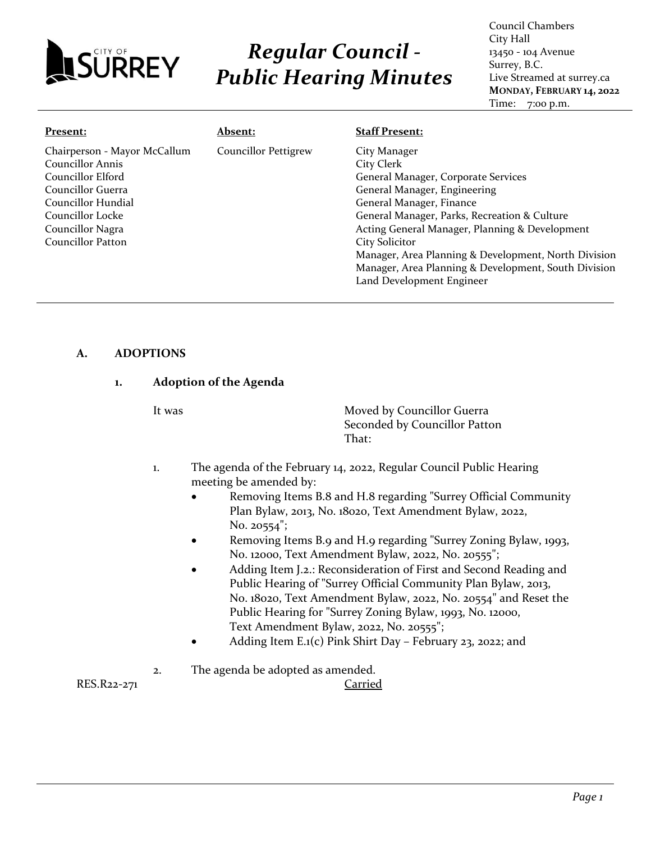

# *Regular Council - Public Hearing Minutes*

Council Chambers City Hall 13450 - 104 Avenue Surrey, B.C. Live Streamed at surrey.ca **MONDAY, FEBRUARY 14, 2022** Time: 7:00 p.m.

| Present:                     | <b>Absent:</b>              | <b>Staff Present:</b>                                |
|------------------------------|-----------------------------|------------------------------------------------------|
| Chairperson - Mayor McCallum | <b>Councillor Pettigrew</b> | City Manager                                         |
| <b>Councillor Annis</b>      |                             | City Clerk                                           |
| Councillor Elford            |                             | General Manager, Corporate Services                  |
| Councillor Guerra            |                             | General Manager, Engineering                         |
| Councillor Hundial           |                             | General Manager, Finance                             |
| Councillor Locke             |                             | General Manager, Parks, Recreation & Culture         |
| Councillor Nagra             |                             | Acting General Manager, Planning & Development       |
| Councillor Patton            |                             | <b>City Solicitor</b>                                |
|                              |                             | Manager, Area Planning & Development, North Division |
|                              |                             | Manager, Area Planning & Development, South Division |
|                              |                             | Land Development Engineer                            |

# **A. ADOPTIONS**

#### **1. Adoption of the Agenda**

It was **Moved by Councillor Guerra** Seconded by Councillor Patton That:

- 1. The agenda of the February 14, 2022, Regular Council Public Hearing meeting be amended by:
	- Removing Items B.8 and H.8 regarding "Surrey Official Community Plan Bylaw, 2013, No. 18020, Text Amendment Bylaw, 2022, No. 20554";
	- Removing Items B.9 and H.9 regarding "Surrey Zoning Bylaw, 1993, No. 12000, Text Amendment Bylaw, 2022, No. 20555";
	- Adding Item J.2.: Reconsideration of First and Second Reading and Public Hearing of "Surrey Official Community Plan Bylaw, 2013, No. 18020, Text Amendment Bylaw, 2022, No. 20554" and Reset the Public Hearing for "Surrey Zoning Bylaw, 1993, No. 12000, Text Amendment Bylaw, 2022, No. 20555";
	- Adding Item E.1(c) Pink Shirt Day February 23, 2022; and
- 2. The agenda be adopted as amended.

RES.R22-271 Carried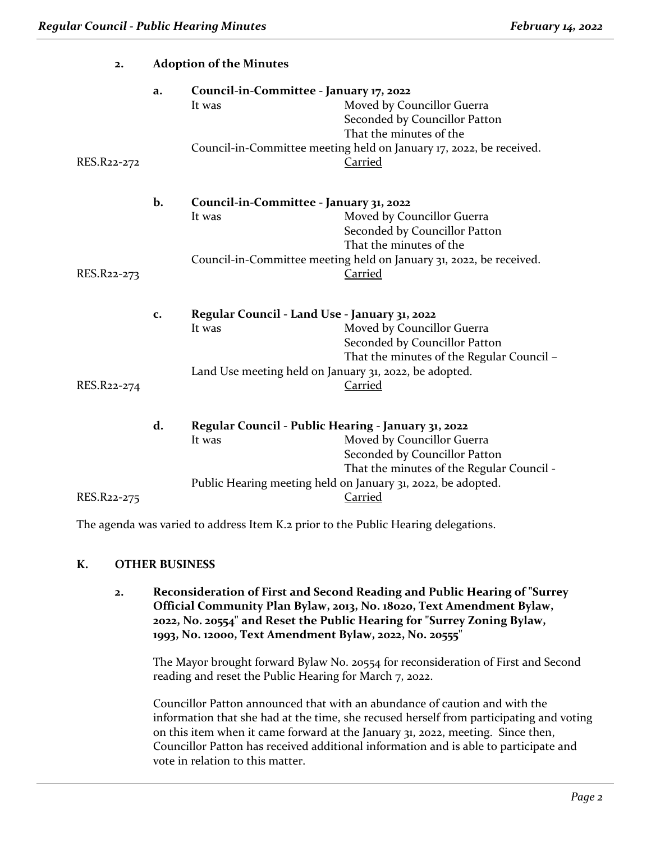| 2.          | <b>Adoption of the Minutes</b> |                                                                                                                   |                                                                                                                                                                                     |
|-------------|--------------------------------|-------------------------------------------------------------------------------------------------------------------|-------------------------------------------------------------------------------------------------------------------------------------------------------------------------------------|
| RES.R22-272 | a.                             | Council-in-Committee - January 17, 2022<br>It was                                                                 | Moved by Councillor Guerra<br>Seconded by Councillor Patton<br>That the minutes of the<br>Council-in-Committee meeting held on January 17, 2022, be received.<br>Carried            |
| RES.R22-273 | b.                             | Council-in-Committee - January 31, 2022<br>It was                                                                 | Moved by Councillor Guerra<br>Seconded by Councillor Patton<br>That the minutes of the<br>Council-in-Committee meeting held on January 31, 2022, be received.<br>Carried            |
| RES.R22-274 | c.                             | Regular Council - Land Use - January 31, 2022<br>It was<br>Land Use meeting held on January 31, 2022, be adopted. | Moved by Councillor Guerra<br>Seconded by Councillor Patton<br>That the minutes of the Regular Council -<br>Carried                                                                 |
| RES.R22-275 | d.                             | Regular Council - Public Hearing - January 31, 2022<br>It was                                                     | Moved by Councillor Guerra<br>Seconded by Councillor Patton<br>That the minutes of the Regular Council -<br>Public Hearing meeting held on January 31, 2022, be adopted.<br>Carried |

The agenda was varied to address Item K.2 prior to the Public Hearing delegations.

#### **K. OTHER BUSINESS**

**2. Reconsideration of First and Second Reading and Public Hearing of "Surrey Official Community Plan Bylaw, 2013, No. 18020, Text Amendment Bylaw, 2022, No. 20554" and Reset the Public Hearing for "Surrey Zoning Bylaw, 1993, No. 12000, Text Amendment Bylaw, 2022, No. 20555"**

The Mayor brought forward Bylaw No. 20554 for reconsideration of First and Second reading and reset the Public Hearing for March 7, 2022.

Councillor Patton announced that with an abundance of caution and with the information that she had at the time, she recused herself from participating and voting on this item when it came forward at the January 31, 2022, meeting. Since then, Councillor Patton has received additional information and is able to participate and vote in relation to this matter.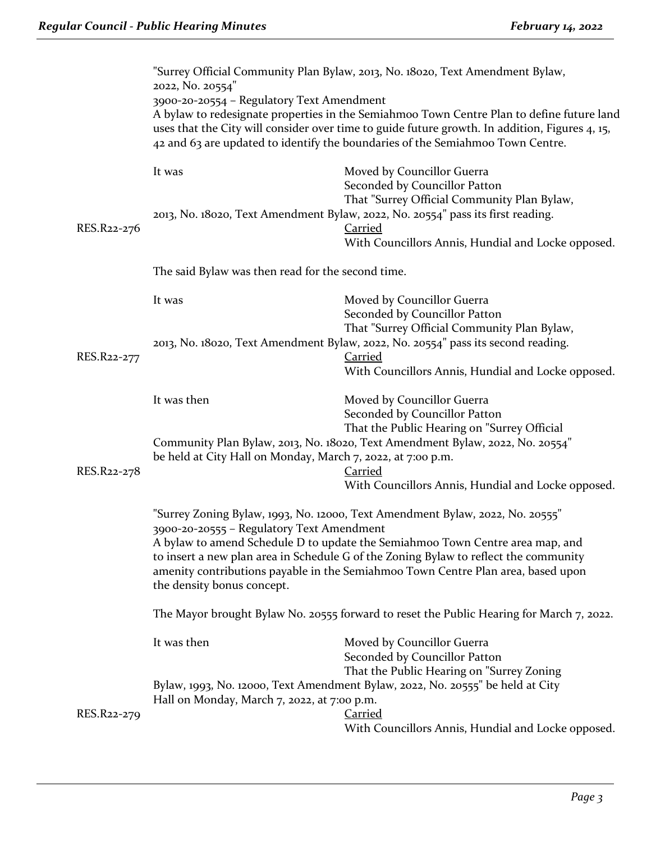|             | "Surrey Official Community Plan Bylaw, 2013, No. 18020, Text Amendment Bylaw,<br>2022, No. 20554"                                                                                           |                                                                                                                                                                                                                                                                                                                                            |  |
|-------------|---------------------------------------------------------------------------------------------------------------------------------------------------------------------------------------------|--------------------------------------------------------------------------------------------------------------------------------------------------------------------------------------------------------------------------------------------------------------------------------------------------------------------------------------------|--|
|             | 3900-20-20554 - Regulatory Text Amendment                                                                                                                                                   | A bylaw to redesignate properties in the Semiahmoo Town Centre Plan to define future land<br>uses that the City will consider over time to guide future growth. In addition, Figures 4, 15,<br>42 and 63 are updated to identify the boundaries of the Semiahmoo Town Centre.                                                              |  |
|             | It was                                                                                                                                                                                      | Moved by Councillor Guerra<br>Seconded by Councillor Patton                                                                                                                                                                                                                                                                                |  |
| RES.R22-276 |                                                                                                                                                                                             | That "Surrey Official Community Plan Bylaw,<br>2013, No. 18020, Text Amendment Bylaw, 2022, No. 20554" pass its first reading.<br><b>Carried</b><br>With Councillors Annis, Hundial and Locke opposed.                                                                                                                                     |  |
|             | The said Bylaw was then read for the second time.                                                                                                                                           |                                                                                                                                                                                                                                                                                                                                            |  |
|             | It was                                                                                                                                                                                      | Moved by Councillor Guerra<br>Seconded by Councillor Patton<br>That "Surrey Official Community Plan Bylaw,                                                                                                                                                                                                                                 |  |
| RES.R22-277 |                                                                                                                                                                                             | 2013, No. 18020, Text Amendment Bylaw, 2022, No. 20554" pass its second reading.<br>Carried<br>With Councillors Annis, Hundial and Locke opposed.                                                                                                                                                                                          |  |
|             | It was then                                                                                                                                                                                 | Moved by Councillor Guerra<br>Seconded by Councillor Patton                                                                                                                                                                                                                                                                                |  |
| RES.R22-278 | That the Public Hearing on "Surrey Official<br>Community Plan Bylaw, 2013, No. 18020, Text Amendment Bylaw, 2022, No. 20554"<br>be held at City Hall on Monday, March 7, 2022, at 7:00 p.m. |                                                                                                                                                                                                                                                                                                                                            |  |
|             |                                                                                                                                                                                             | <b>Carried</b><br>With Councillors Annis, Hundial and Locke opposed.                                                                                                                                                                                                                                                                       |  |
|             | 3900-20-20555 - Regulatory Text Amendment<br>the density bonus concept.                                                                                                                     | "Surrey Zoning Bylaw, 1993, No. 12000, Text Amendment Bylaw, 2022, No. 20555"<br>A bylaw to amend Schedule D to update the Semiahmoo Town Centre area map, and<br>to insert a new plan area in Schedule G of the Zoning Bylaw to reflect the community<br>amenity contributions payable in the Semiahmoo Town Centre Plan area, based upon |  |
|             | The Mayor brought Bylaw No. 20555 forward to reset the Public Hearing for March 7, 2022.                                                                                                    |                                                                                                                                                                                                                                                                                                                                            |  |
|             | It was then                                                                                                                                                                                 | Moved by Councillor Guerra<br>Seconded by Councillor Patton<br>That the Public Hearing on "Surrey Zoning                                                                                                                                                                                                                                   |  |
| RES.R22-279 | Hall on Monday, March 7, 2022, at 7:00 p.m.                                                                                                                                                 | Bylaw, 1993, No. 12000, Text Amendment Bylaw, 2022, No. 20555" be held at City<br><b>Carried</b><br>With Councillors Annis, Hundial and Locke opposed.                                                                                                                                                                                     |  |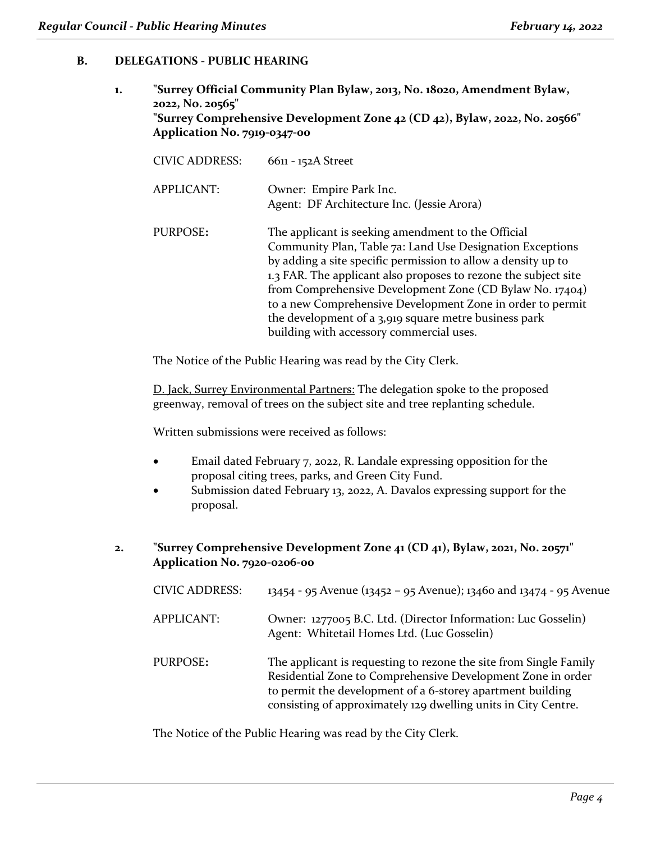# **B. DELEGATIONS - PUBLIC HEARING**

**1. "Surrey Official Community Plan Bylaw, 2013, No. 18020, Amendment Bylaw, 2022, No. 20565" "Surrey Comprehensive Development Zone 42 (CD 42), Bylaw, 2022, No. 20566" Application No. 7919-0347-00**

| <b>CIVIC ADDRESS:</b> | 6611 - 152A Street                                                                                                                                                                                                                                                                                                                                                                                                                                                                 |
|-----------------------|------------------------------------------------------------------------------------------------------------------------------------------------------------------------------------------------------------------------------------------------------------------------------------------------------------------------------------------------------------------------------------------------------------------------------------------------------------------------------------|
| APPLICANT:            | Owner: Empire Park Inc.<br>Agent: DF Architecture Inc. (Jessie Arora)                                                                                                                                                                                                                                                                                                                                                                                                              |
| PURPOSE:              | The applicant is seeking amendment to the Official<br>Community Plan, Table 7a: Land Use Designation Exceptions<br>by adding a site specific permission to allow a density up to<br>1.3 FAR. The applicant also proposes to rezone the subject site<br>from Comprehensive Development Zone (CD Bylaw No. 17404)<br>to a new Comprehensive Development Zone in order to permit<br>the development of a 3,919 square metre business park<br>building with accessory commercial uses. |

The Notice of the Public Hearing was read by the City Clerk.

D. Jack, Surrey Environmental Partners: The delegation spoke to the proposed greenway, removal of trees on the subject site and tree replanting schedule.

Written submissions were received as follows:

- Email dated February 7, 2022, R. Landale expressing opposition for the proposal citing trees, parks, and Green City Fund.
- Submission dated February 13, 2022, A. Davalos expressing support for the proposal.
- **2. "Surrey Comprehensive Development Zone 41 (CD 41), Bylaw, 2021, No. 20571" Application No. 7920-0206-00**

| <b>CIVIC ADDRESS:</b> | 13454 - 95 Avenue (13452 – 95 Avenue); 13460 and 13474 - 95 Avenue                                                                                                                                                                                               |
|-----------------------|------------------------------------------------------------------------------------------------------------------------------------------------------------------------------------------------------------------------------------------------------------------|
| <b>APPLICANT:</b>     | Owner: 1277005 B.C. Ltd. (Director Information: Luc Gosselin)<br>Agent: Whitetail Homes Ltd. (Luc Gosselin)                                                                                                                                                      |
| PURPOSE:              | The applicant is requesting to rezone the site from Single Family<br>Residential Zone to Comprehensive Development Zone in order<br>to permit the development of a 6-storey apartment building<br>consisting of approximately 129 dwelling units in City Centre. |

The Notice of the Public Hearing was read by the City Clerk.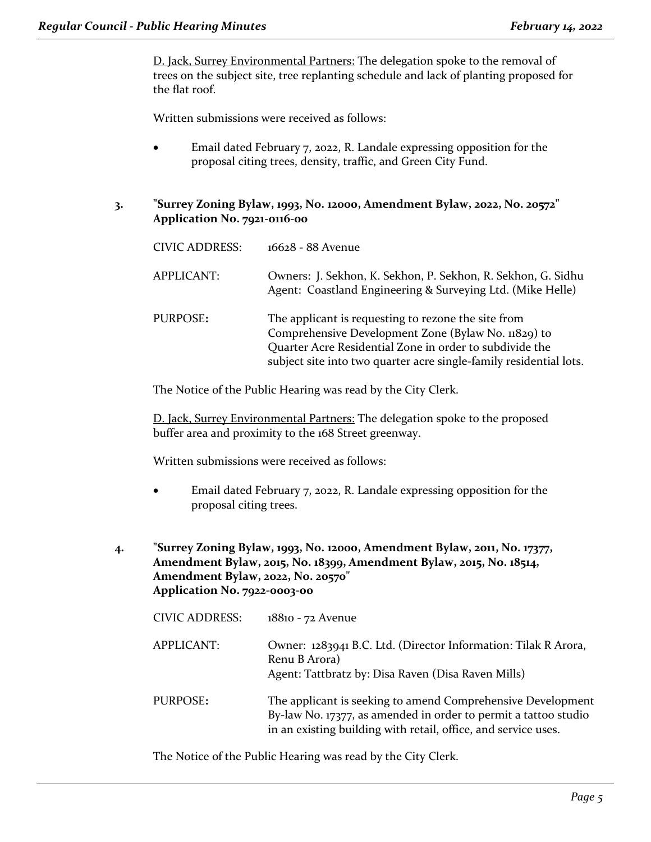D. Jack, Surrey Environmental Partners: The delegation spoke to the removal of trees on the subject site, tree replanting schedule and lack of planting proposed for the flat roof.

Written submissions were received as follows:

- Email dated February 7, 2022, R. Landale expressing opposition for the proposal citing trees, density, traffic, and Green City Fund.
- **3. "Surrey Zoning Bylaw, 1993, No. 12000, Amendment Bylaw, 2022, No. 20572" Application No. 7921-0116-00**

| <b>CIVIC ADDRESS:</b> | 16628 - 88 Avenue                                                                                                                                                                                                                           |
|-----------------------|---------------------------------------------------------------------------------------------------------------------------------------------------------------------------------------------------------------------------------------------|
| <b>APPLICANT:</b>     | Owners: J. Sekhon, K. Sekhon, P. Sekhon, R. Sekhon, G. Sidhu<br>Agent: Coastland Engineering & Surveying Ltd. (Mike Helle)                                                                                                                  |
| PURPOSE:              | The applicant is requesting to rezone the site from<br>Comprehensive Development Zone (Bylaw No. 11829) to<br>Quarter Acre Residential Zone in order to subdivide the<br>subject site into two quarter acre single-family residential lots. |

The Notice of the Public Hearing was read by the City Clerk.

D. Jack, Surrey Environmental Partners: The delegation spoke to the proposed buffer area and proximity to the 168 Street greenway.

Written submissions were received as follows:

- Email dated February 7, 2022, R. Landale expressing opposition for the proposal citing trees.
- **4. "Surrey Zoning Bylaw, 1993, No. 12000, Amendment Bylaw, 2011, No. 17377, Amendment Bylaw, 2015, No. 18399, Amendment Bylaw, 2015, No. 18514, Amendment Bylaw, 2022, No. 20570" Application No. 7922-0003-00**

| <b>CIVIC ADDRESS:</b> | 18810 - 72 Avenue                                                                                                                                                                                |
|-----------------------|--------------------------------------------------------------------------------------------------------------------------------------------------------------------------------------------------|
| <b>APPLICANT:</b>     | Owner: 1283941 B.C. Ltd. (Director Information: Tilak R Arora,<br>Renu B Arora)<br>Agent: Tattbratz by: Disa Raven (Disa Raven Mills)                                                            |
| PURPOSE:              | The applicant is seeking to amend Comprehensive Development<br>By-law No. 17377, as amended in order to permit a tattoo studio<br>in an existing building with retail, office, and service uses. |

The Notice of the Public Hearing was read by the City Clerk.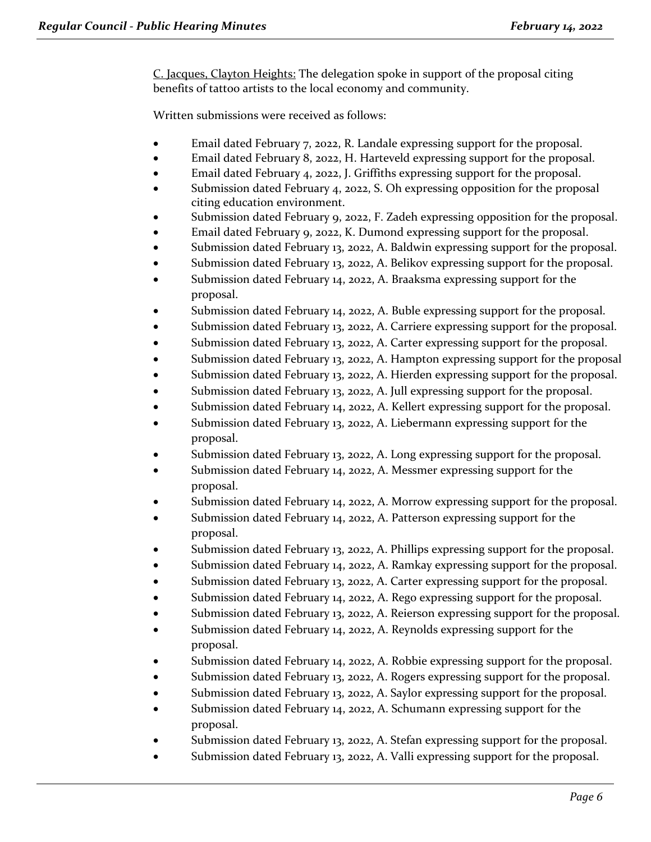C. Jacques, Clayton Heights: The delegation spoke in support of the proposal citing benefits of tattoo artists to the local economy and community.

Written submissions were received as follows:

- Email dated February 7, 2022, R. Landale expressing support for the proposal.
- Email dated February 8, 2022, H. Harteveld expressing support for the proposal.
- Email dated February 4, 2022, J. Griffiths expressing support for the proposal.
- Submission dated February 4, 2022, S. Oh expressing opposition for the proposal citing education environment.
- Submission dated February 9, 2022, F. Zadeh expressing opposition for the proposal.
- Email dated February 9, 2022, K. Dumond expressing support for the proposal.
- Submission dated February 13, 2022, A. Baldwin expressing support for the proposal.
- Submission dated February 13, 2022, A. Belikov expressing support for the proposal.
- Submission dated February 14, 2022, A. Braaksma expressing support for the proposal.
- Submission dated February 14, 2022, A. Buble expressing support for the proposal.
- Submission dated February 13, 2022, A. Carriere expressing support for the proposal.
- Submission dated February 13, 2022, A. Carter expressing support for the proposal.
- Submission dated February 13, 2022, A. Hampton expressing support for the proposal
- Submission dated February 13, 2022, A. Hierden expressing support for the proposal.
- Submission dated February 13, 2022, A. Jull expressing support for the proposal.
- Submission dated February 14, 2022, A. Kellert expressing support for the proposal.
- Submission dated February 13, 2022, A. Liebermann expressing support for the proposal.
- Submission dated February 13, 2022, A. Long expressing support for the proposal.
- Submission dated February 14, 2022, A. Messmer expressing support for the proposal.
- Submission dated February 14, 2022, A. Morrow expressing support for the proposal.
- Submission dated February 14, 2022, A. Patterson expressing support for the proposal.
- Submission dated February 13, 2022, A. Phillips expressing support for the proposal.
- Submission dated February 14, 2022, A. Ramkay expressing support for the proposal.
- Submission dated February 13, 2022, A. Carter expressing support for the proposal.
- Submission dated February 14, 2022, A. Rego expressing support for the proposal.
- Submission dated February 13, 2022, A. Reierson expressing support for the proposal.
- Submission dated February 14, 2022, A. Reynolds expressing support for the proposal.
- Submission dated February 14, 2022, A. Robbie expressing support for the proposal.
- Submission dated February 13, 2022, A. Rogers expressing support for the proposal.
- Submission dated February 13, 2022, A. Saylor expressing support for the proposal.
- Submission dated February 14, 2022, A. Schumann expressing support for the proposal.
- Submission dated February 13, 2022, A. Stefan expressing support for the proposal.
- Submission dated February 13, 2022, A. Valli expressing support for the proposal.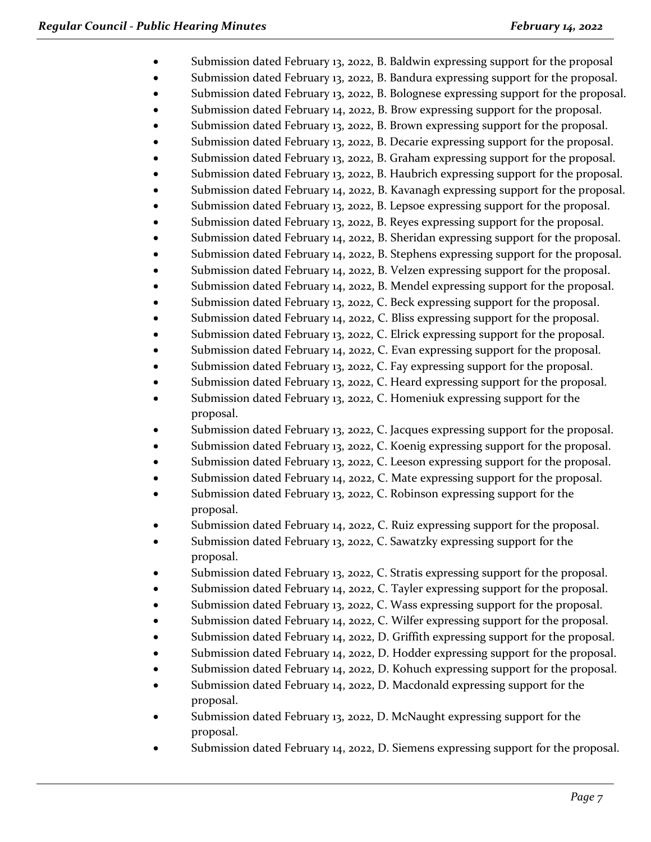- Submission dated February 13, 2022, B. Baldwin expressing support for the proposal
- Submission dated February 13, 2022, B. Bandura expressing support for the proposal.
- Submission dated February 13, 2022, B. Bolognese expressing support for the proposal.
- Submission dated February 14, 2022, B. Brow expressing support for the proposal.
- Submission dated February 13, 2022, B. Brown expressing support for the proposal.
- Submission dated February 13, 2022, B. Decarie expressing support for the proposal.
- Submission dated February 13, 2022, B. Graham expressing support for the proposal.
- Submission dated February 13, 2022, B. Haubrich expressing support for the proposal.
- Submission dated February 14, 2022, B. Kavanagh expressing support for the proposal.
- Submission dated February 13, 2022, B. Lepsoe expressing support for the proposal.
- Submission dated February 13, 2022, B. Reyes expressing support for the proposal.
- Submission dated February 14, 2022, B. Sheridan expressing support for the proposal.
- Submission dated February 14, 2022, B. Stephens expressing support for the proposal.
- Submission dated February 14, 2022, B. Velzen expressing support for the proposal.
- Submission dated February 14, 2022, B. Mendel expressing support for the proposal.
- Submission dated February 13, 2022, C. Beck expressing support for the proposal.
- Submission dated February 14, 2022, C. Bliss expressing support for the proposal.
- Submission dated February 13, 2022, C. Elrick expressing support for the proposal.
- Submission dated February 14, 2022, C. Evan expressing support for the proposal.
- Submission dated February 13, 2022, C. Fay expressing support for the proposal.
- Submission dated February 13, 2022, C. Heard expressing support for the proposal.
- Submission dated February 13, 2022, C. Homeniuk expressing support for the proposal.
- Submission dated February 13, 2022, C. Jacques expressing support for the proposal.
- Submission dated February 13, 2022, C. Koenig expressing support for the proposal.
- Submission dated February 13, 2022, C. Leeson expressing support for the proposal.
- Submission dated February 14, 2022, C. Mate expressing support for the proposal.
- Submission dated February 13, 2022, C. Robinson expressing support for the proposal.
- Submission dated February 14, 2022, C. Ruiz expressing support for the proposal.
- Submission dated February 13, 2022, C. Sawatzky expressing support for the proposal.
- Submission dated February 13, 2022, C. Stratis expressing support for the proposal.
- Submission dated February 14, 2022, C. Tayler expressing support for the proposal.
- Submission dated February 13, 2022, C. Wass expressing support for the proposal.
- Submission dated February 14, 2022, C. Wilfer expressing support for the proposal.
- Submission dated February 14, 2022, D. Griffith expressing support for the proposal.
- Submission dated February 14, 2022, D. Hodder expressing support for the proposal.
- Submission dated February 14, 2022, D. Kohuch expressing support for the proposal.
- Submission dated February 14, 2022, D. Macdonald expressing support for the proposal.
- Submission dated February 13, 2022, D. McNaught expressing support for the proposal.
- Submission dated February 14, 2022, D. Siemens expressing support for the proposal.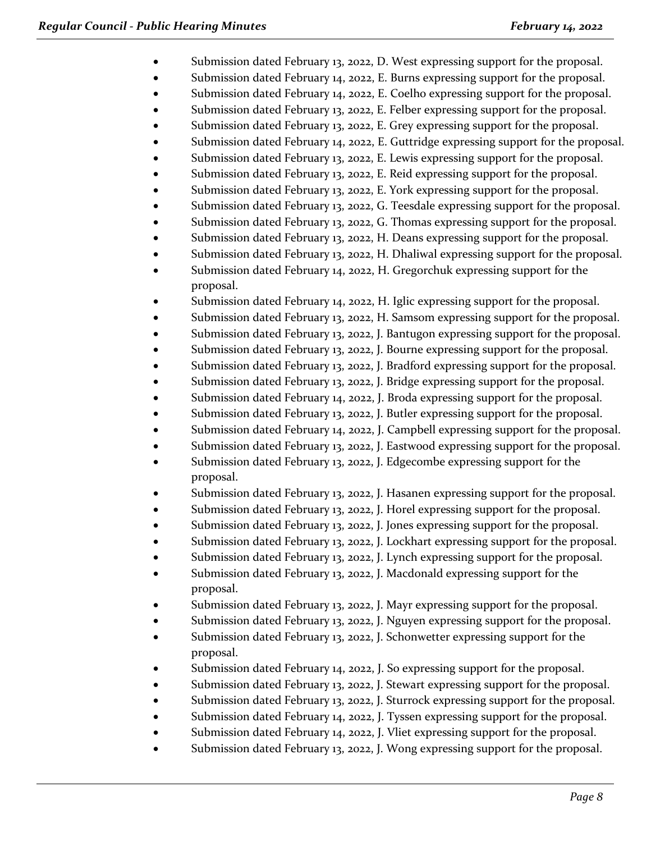- Submission dated February 13, 2022, D. West expressing support for the proposal.
- Submission dated February 14, 2022, E. Burns expressing support for the proposal.
- Submission dated February 14, 2022, E. Coelho expressing support for the proposal.
- Submission dated February 13, 2022, E. Felber expressing support for the proposal.
- Submission dated February 13, 2022, E. Grey expressing support for the proposal.
- Submission dated February 14, 2022, E. Guttridge expressing support for the proposal.
- Submission dated February 13, 2022, E. Lewis expressing support for the proposal.
- Submission dated February 13, 2022, E. Reid expressing support for the proposal.
- Submission dated February 13, 2022, E. York expressing support for the proposal.
- Submission dated February 13, 2022, G. Teesdale expressing support for the proposal.
- Submission dated February 13, 2022, G. Thomas expressing support for the proposal.
- Submission dated February 13, 2022, H. Deans expressing support for the proposal.
- Submission dated February 13, 2022, H. Dhaliwal expressing support for the proposal.
- Submission dated February 14, 2022, H. Gregorchuk expressing support for the proposal.
- Submission dated February 14, 2022, H. Iglic expressing support for the proposal.
- Submission dated February 13, 2022, H. Samsom expressing support for the proposal.
- Submission dated February 13, 2022, J. Bantugon expressing support for the proposal.
- Submission dated February 13, 2022, J. Bourne expressing support for the proposal.
- Submission dated February 13, 2022, J. Bradford expressing support for the proposal.
- Submission dated February 13, 2022, J. Bridge expressing support for the proposal.
- Submission dated February 14, 2022, J. Broda expressing support for the proposal.
- Submission dated February 13, 2022, J. Butler expressing support for the proposal.
- Submission dated February 14, 2022, J. Campbell expressing support for the proposal.
- Submission dated February 13, 2022, J. Eastwood expressing support for the proposal.
- Submission dated February 13, 2022, J. Edgecombe expressing support for the proposal.
- Submission dated February 13, 2022, J. Hasanen expressing support for the proposal.
- Submission dated February 13, 2022, J. Horel expressing support for the proposal.
- Submission dated February 13, 2022, J. Jones expressing support for the proposal.
- Submission dated February 13, 2022, J. Lockhart expressing support for the proposal.
- Submission dated February 13, 2022, J. Lynch expressing support for the proposal.
- Submission dated February 13, 2022, J. Macdonald expressing support for the proposal.
- Submission dated February 13, 2022, J. Mayr expressing support for the proposal.
- Submission dated February 13, 2022, J. Nguyen expressing support for the proposal.
- Submission dated February 13, 2022, J. Schonwetter expressing support for the proposal.
- Submission dated February 14, 2022, J. So expressing support for the proposal.
- Submission dated February 13, 2022, J. Stewart expressing support for the proposal.
- Submission dated February 13, 2022, J. Sturrock expressing support for the proposal.
- Submission dated February 14, 2022, J. Tyssen expressing support for the proposal.
- Submission dated February 14, 2022, J. Vliet expressing support for the proposal.
- Submission dated February 13, 2022, J. Wong expressing support for the proposal.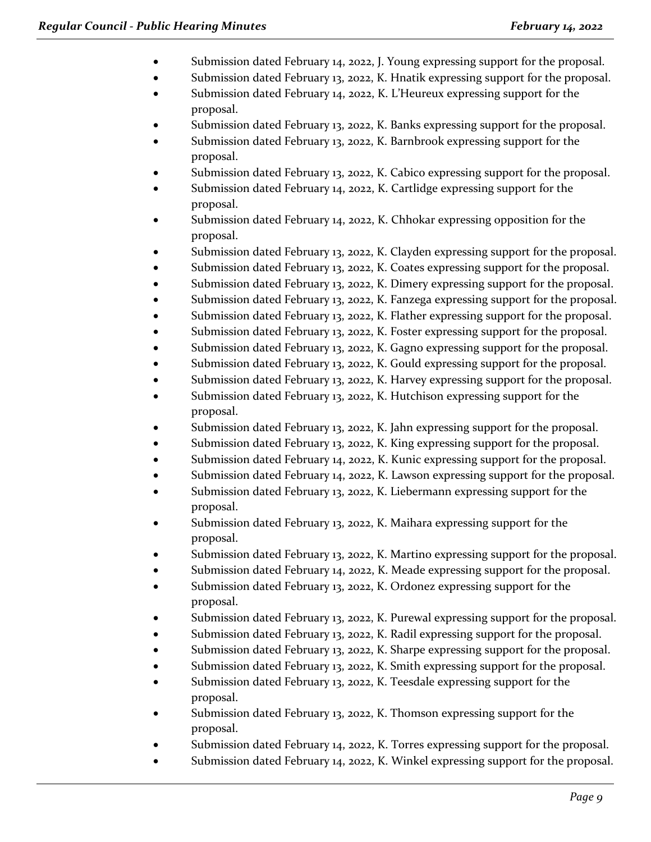- Submission dated February 14, 2022, J. Young expressing support for the proposal.
- Submission dated February 13, 2022, K. Hnatik expressing support for the proposal.
- Submission dated February 14, 2022, K. L'Heureux expressing support for the proposal.
- Submission dated February 13, 2022, K. Banks expressing support for the proposal.
- Submission dated February 13, 2022, K. Barnbrook expressing support for the proposal.
- Submission dated February 13, 2022, K. Cabico expressing support for the proposal.
- Submission dated February 14, 2022, K. Cartlidge expressing support for the proposal.
- Submission dated February 14, 2022, K. Chhokar expressing opposition for the proposal.
- Submission dated February 13, 2022, K. Clayden expressing support for the proposal.
- Submission dated February 13, 2022, K. Coates expressing support for the proposal.
- Submission dated February 13, 2022, K. Dimery expressing support for the proposal.
- Submission dated February 13, 2022, K. Fanzega expressing support for the proposal.
- Submission dated February 13, 2022, K. Flather expressing support for the proposal.
- Submission dated February 13, 2022, K. Foster expressing support for the proposal.
- Submission dated February 13, 2022, K. Gagno expressing support for the proposal.
- Submission dated February 13, 2022, K. Gould expressing support for the proposal.
- Submission dated February 13, 2022, K. Harvey expressing support for the proposal.
- Submission dated February 13, 2022, K. Hutchison expressing support for the proposal.
- Submission dated February 13, 2022, K. Jahn expressing support for the proposal.
- Submission dated February 13, 2022, K. King expressing support for the proposal.
- Submission dated February 14, 2022, K. Kunic expressing support for the proposal.
- Submission dated February 14, 2022, K. Lawson expressing support for the proposal.
- Submission dated February 13, 2022, K. Liebermann expressing support for the proposal.
- Submission dated February 13, 2022, K. Maihara expressing support for the proposal.
- Submission dated February 13, 2022, K. Martino expressing support for the proposal.
- Submission dated February 14, 2022, K. Meade expressing support for the proposal.
- Submission dated February 13, 2022, K. Ordonez expressing support for the proposal.
- Submission dated February 13, 2022, K. Purewal expressing support for the proposal.
- Submission dated February 13, 2022, K. Radil expressing support for the proposal.
- Submission dated February 13, 2022, K. Sharpe expressing support for the proposal.
- Submission dated February 13, 2022, K. Smith expressing support for the proposal.
- Submission dated February 13, 2022, K. Teesdale expressing support for the proposal.
- Submission dated February 13, 2022, K. Thomson expressing support for the proposal.
- Submission dated February 14, 2022, K. Torres expressing support for the proposal.
- Submission dated February 14, 2022, K. Winkel expressing support for the proposal.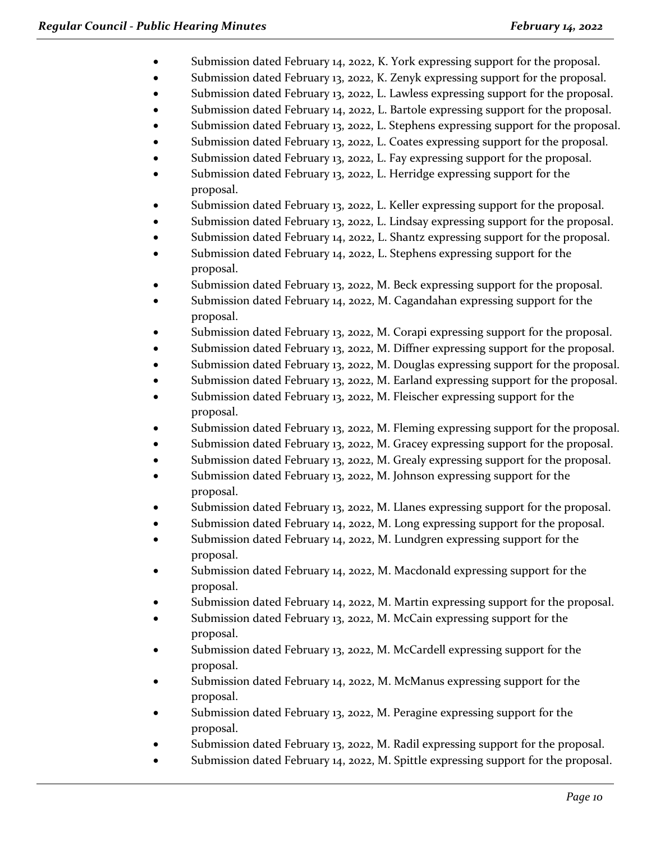- Submission dated February 14, 2022, K. York expressing support for the proposal.
- Submission dated February 13, 2022, K. Zenyk expressing support for the proposal.
- Submission dated February 13, 2022, L. Lawless expressing support for the proposal.
- Submission dated February 14, 2022, L. Bartole expressing support for the proposal.
- Submission dated February 13, 2022, L. Stephens expressing support for the proposal.
- Submission dated February 13, 2022, L. Coates expressing support for the proposal.
- Submission dated February 13, 2022, L. Fay expressing support for the proposal.
- Submission dated February 13, 2022, L. Herridge expressing support for the proposal.
- Submission dated February 13, 2022, L. Keller expressing support for the proposal.
- Submission dated February 13, 2022, L. Lindsay expressing support for the proposal.
- Submission dated February 14, 2022, L. Shantz expressing support for the proposal.
- Submission dated February 14, 2022, L. Stephens expressing support for the proposal.
- Submission dated February 13, 2022, M. Beck expressing support for the proposal.
- Submission dated February 14, 2022, M. Cagandahan expressing support for the proposal.
- Submission dated February 13, 2022, M. Corapi expressing support for the proposal.
- Submission dated February 13, 2022, M. Diffner expressing support for the proposal.
- Submission dated February 13, 2022, M. Douglas expressing support for the proposal.
- Submission dated February 13, 2022, M. Earland expressing support for the proposal.
- Submission dated February 13, 2022, M. Fleischer expressing support for the proposal.
- Submission dated February 13, 2022, M. Fleming expressing support for the proposal.
- Submission dated February 13, 2022, M. Gracey expressing support for the proposal.
- Submission dated February 13, 2022, M. Grealy expressing support for the proposal.
- Submission dated February 13, 2022, M. Johnson expressing support for the proposal.
- Submission dated February 13, 2022, M. Llanes expressing support for the proposal.
- Submission dated February 14, 2022, M. Long expressing support for the proposal.
- Submission dated February 14, 2022, M. Lundgren expressing support for the proposal.
- Submission dated February 14, 2022, M. Macdonald expressing support for the proposal.
- Submission dated February 14, 2022, M. Martin expressing support for the proposal.
- Submission dated February 13, 2022, M. McCain expressing support for the proposal.
- Submission dated February 13, 2022, M. McCardell expressing support for the proposal.
- Submission dated February 14, 2022, M. McManus expressing support for the proposal.
- Submission dated February 13, 2022, M. Peragine expressing support for the proposal.
- Submission dated February 13, 2022, M. Radil expressing support for the proposal.
- Submission dated February 14, 2022, M. Spittle expressing support for the proposal.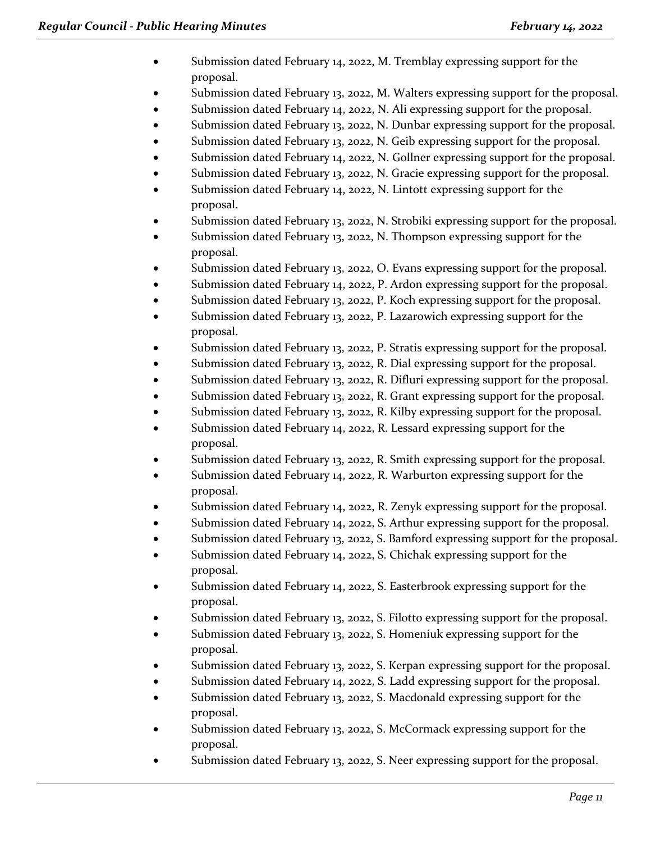- Submission dated February 14, 2022, M. Tremblay expressing support for the proposal.
- Submission dated February 13, 2022, M. Walters expressing support for the proposal.
- Submission dated February 14, 2022, N. Ali expressing support for the proposal.
- Submission dated February 13, 2022, N. Dunbar expressing support for the proposal.
- Submission dated February 13, 2022, N. Geib expressing support for the proposal.
- Submission dated February 14, 2022, N. Gollner expressing support for the proposal.
- Submission dated February 13, 2022, N. Gracie expressing support for the proposal.
- Submission dated February 14, 2022, N. Lintott expressing support for the proposal.
- Submission dated February 13, 2022, N. Strobiki expressing support for the proposal.
- Submission dated February 13, 2022, N. Thompson expressing support for the proposal.
- Submission dated February 13, 2022, O. Evans expressing support for the proposal.
- Submission dated February 14, 2022, P. Ardon expressing support for the proposal.
- Submission dated February 13, 2022, P. Koch expressing support for the proposal.
- Submission dated February 13, 2022, P. Lazarowich expressing support for the proposal.
- Submission dated February 13, 2022, P. Stratis expressing support for the proposal.
- Submission dated February 13, 2022, R. Dial expressing support for the proposal.
- Submission dated February 13, 2022, R. Difluri expressing support for the proposal.
- Submission dated February 13, 2022, R. Grant expressing support for the proposal.
- Submission dated February 13, 2022, R. Kilby expressing support for the proposal.
- Submission dated February 14, 2022, R. Lessard expressing support for the proposal.
- Submission dated February 13, 2022, R. Smith expressing support for the proposal.
- Submission dated February 14, 2022, R. Warburton expressing support for the proposal.
- Submission dated February 14, 2022, R. Zenyk expressing support for the proposal.
- Submission dated February 14, 2022, S. Arthur expressing support for the proposal.
- Submission dated February 13, 2022, S. Bamford expressing support for the proposal.
- Submission dated February 14, 2022, S. Chichak expressing support for the proposal.
- Submission dated February 14, 2022, S. Easterbrook expressing support for the proposal.
- Submission dated February 13, 2022, S. Filotto expressing support for the proposal.
- Submission dated February 13, 2022, S. Homeniuk expressing support for the proposal.
- Submission dated February 13, 2022, S. Kerpan expressing support for the proposal.
- Submission dated February 14, 2022, S. Ladd expressing support for the proposal.
- Submission dated February 13, 2022, S. Macdonald expressing support for the proposal.
- Submission dated February 13, 2022, S. McCormack expressing support for the proposal.
- Submission dated February 13, 2022, S. Neer expressing support for the proposal.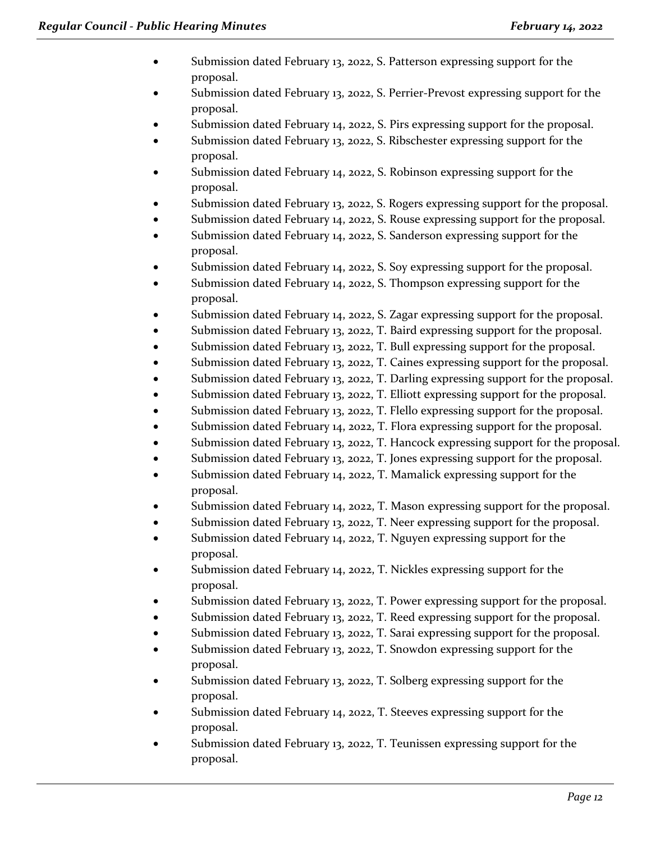- Submission dated February 13, 2022, S. Patterson expressing support for the proposal.
- Submission dated February 13, 2022, S. Perrier-Prevost expressing support for the proposal.
- Submission dated February 14, 2022, S. Pirs expressing support for the proposal.
- Submission dated February 13, 2022, S. Ribschester expressing support for the proposal.
- Submission dated February 14, 2022, S. Robinson expressing support for the proposal.
- Submission dated February 13, 2022, S. Rogers expressing support for the proposal.
- Submission dated February 14, 2022, S. Rouse expressing support for the proposal.
- Submission dated February 14, 2022, S. Sanderson expressing support for the proposal.
- Submission dated February 14, 2022, S. Soy expressing support for the proposal.
- Submission dated February 14, 2022, S. Thompson expressing support for the proposal.
- Submission dated February 14, 2022, S. Zagar expressing support for the proposal.
- Submission dated February 13, 2022, T. Baird expressing support for the proposal.
- Submission dated February 13, 2022, T. Bull expressing support for the proposal.
- Submission dated February 13, 2022, T. Caines expressing support for the proposal.
- Submission dated February 13, 2022, T. Darling expressing support for the proposal.
- Submission dated February 13, 2022, T. Elliott expressing support for the proposal.
- Submission dated February 13, 2022, T. Flello expressing support for the proposal.
- Submission dated February 14, 2022, T. Flora expressing support for the proposal.
- Submission dated February 13, 2022, T. Hancock expressing support for the proposal.
- Submission dated February 13, 2022, T. Jones expressing support for the proposal.
- Submission dated February 14, 2022, T. Mamalick expressing support for the proposal.
- Submission dated February 14, 2022, T. Mason expressing support for the proposal.
- Submission dated February 13, 2022, T. Neer expressing support for the proposal.
- Submission dated February 14, 2022, T. Nguyen expressing support for the proposal.
- Submission dated February 14, 2022, T. Nickles expressing support for the proposal.
- Submission dated February 13, 2022, T. Power expressing support for the proposal.
- Submission dated February 13, 2022, T. Reed expressing support for the proposal.
- Submission dated February 13, 2022, T. Sarai expressing support for the proposal.
- Submission dated February 13, 2022, T. Snowdon expressing support for the proposal.
- Submission dated February 13, 2022, T. Solberg expressing support for the proposal.
- Submission dated February 14, 2022, T. Steeves expressing support for the proposal.
- Submission dated February 13, 2022, T. Teunissen expressing support for the proposal.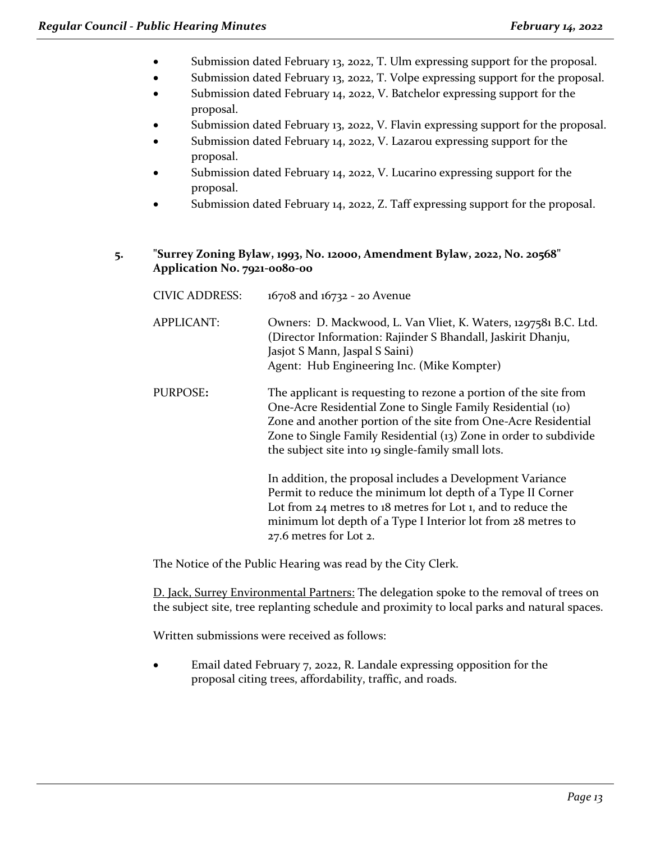- Submission dated February 13, 2022, T. Ulm expressing support for the proposal.
- Submission dated February 13, 2022, T. Volpe expressing support for the proposal.
- Submission dated February 14, 2022, V. Batchelor expressing support for the proposal.
- Submission dated February 13, 2022, V. Flavin expressing support for the proposal.
- Submission dated February 14, 2022, V. Lazarou expressing support for the proposal.
- Submission dated February 14, 2022, V. Lucarino expressing support for the proposal.
- Submission dated February 14, 2022, Z. Taff expressing support for the proposal.

#### **5. "Surrey Zoning Bylaw, 1993, No. 12000, Amendment Bylaw, 2022, No. 20568" Application No. 7921-0080-00**

| <b>CIVIC ADDRESS:</b> | 16708 and 16732 - 20 Avenue                                                                                                                                                                                                                                                                                                  |
|-----------------------|------------------------------------------------------------------------------------------------------------------------------------------------------------------------------------------------------------------------------------------------------------------------------------------------------------------------------|
| <b>APPLICANT:</b>     | Owners: D. Mackwood, L. Van Vliet, K. Waters, 1297581 B.C. Ltd.<br>(Director Information: Rajinder S Bhandall, Jaskirit Dhanju,<br>Jasjot S Mann, Jaspal S Saini)<br>Agent: Hub Engineering Inc. (Mike Kompter)                                                                                                              |
| PURPOSE:              | The applicant is requesting to rezone a portion of the site from<br>One-Acre Residential Zone to Single Family Residential (10)<br>Zone and another portion of the site from One-Acre Residential<br>Zone to Single Family Residential (13) Zone in order to subdivide<br>the subject site into 19 single-family small lots. |
|                       | In addition, the proposal includes a Development Variance<br>Permit to reduce the minimum lot depth of a Type II Corner<br>Lot from $24$ metres to $18$ metres for Lot 1, and to reduce the<br>minimum lot depth of a Type I Interior lot from 28 metres to<br>27.6 metres for Lot 2.                                        |

The Notice of the Public Hearing was read by the City Clerk.

D. Jack, Surrey Environmental Partners: The delegation spoke to the removal of trees on the subject site, tree replanting schedule and proximity to local parks and natural spaces.

Written submissions were received as follows:

• Email dated February 7, 2022, R. Landale expressing opposition for the proposal citing trees, affordability, traffic, and roads.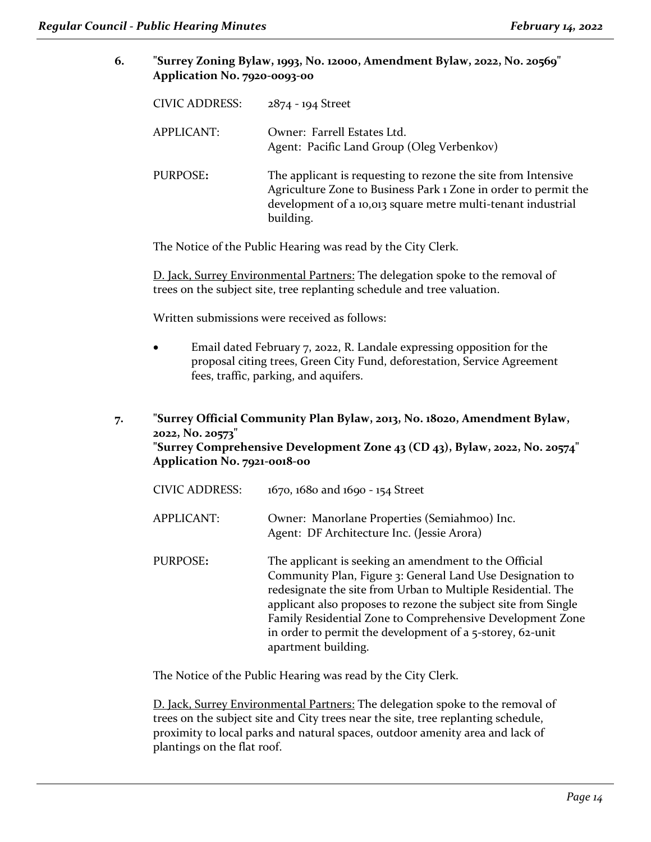**6. "Surrey Zoning Bylaw, 1993, No. 12000, Amendment Bylaw, 2022, No. 20569" Application No. 7920-0093-00**

| <b>CIVIC ADDRESS:</b> | 2874 - 194 Street                                                                                                                                                                                             |
|-----------------------|---------------------------------------------------------------------------------------------------------------------------------------------------------------------------------------------------------------|
| APPLICANT:            | Owner: Farrell Estates Ltd.<br>Agent: Pacific Land Group (Oleg Verbenkov)                                                                                                                                     |
| PURPOSE:              | The applicant is requesting to rezone the site from Intensive<br>Agriculture Zone to Business Park 1 Zone in order to permit the<br>development of a 10,013 square metre multi-tenant industrial<br>building. |

The Notice of the Public Hearing was read by the City Clerk.

D. Jack, Surrey Environmental Partners: The delegation spoke to the removal of trees on the subject site, tree replanting schedule and tree valuation.

Written submissions were received as follows:

• Email dated February 7, 2022, R. Landale expressing opposition for the proposal citing trees, Green City Fund, deforestation, Service Agreement fees, traffic, parking, and aquifers.

**7. "Surrey Official Community Plan Bylaw, 2013, No. 18020, Amendment Bylaw, 2022, No. 20573" "Surrey Comprehensive Development Zone 43 (CD 43), Bylaw, 2022, No. 20574" Application No. 7921-0018-00**

| <b>CIVIC ADDRESS:</b> | 1670, 1680 and 1690 - 154 Street                                                                                                                                                                                                                                                                                                                                                                      |
|-----------------------|-------------------------------------------------------------------------------------------------------------------------------------------------------------------------------------------------------------------------------------------------------------------------------------------------------------------------------------------------------------------------------------------------------|
| <b>APPLICANT:</b>     | Owner: Manorlane Properties (Semiahmoo) Inc.<br>Agent: DF Architecture Inc. (Jessie Arora)                                                                                                                                                                                                                                                                                                            |
| PURPOSE:              | The applicant is seeking an amendment to the Official<br>Community Plan, Figure 3: General Land Use Designation to<br>redesignate the site from Urban to Multiple Residential. The<br>applicant also proposes to rezone the subject site from Single<br>Family Residential Zone to Comprehensive Development Zone<br>in order to permit the development of a 5-storey, 62-unit<br>apartment building. |

The Notice of the Public Hearing was read by the City Clerk.

D. Jack, Surrey Environmental Partners: The delegation spoke to the removal of trees on the subject site and City trees near the site, tree replanting schedule, proximity to local parks and natural spaces, outdoor amenity area and lack of plantings on the flat roof.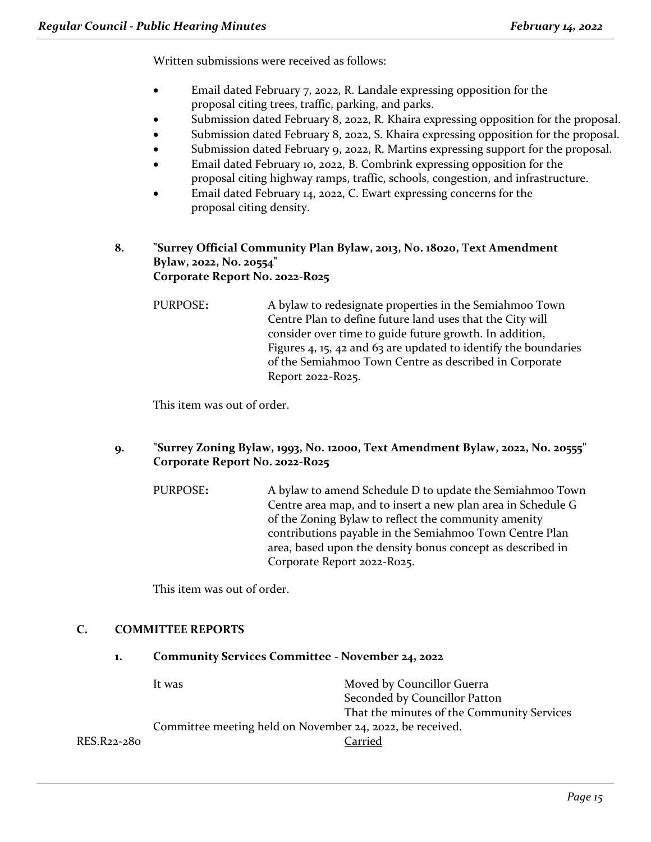Written submissions were received as follows:

- Email dated February 7, 2022, R. Landale expressing opposition for the proposal citing trees, traffic, parking, and parks.
- Submission dated February 8, 2022, R. Khaira expressing opposition for the proposal.
- Submission dated February 8, 2022, S. Khaira expressing opposition for the proposal.
- Submission dated February 9, 2022, R. Martins expressing support for the proposal.
- Email dated February 10, 2022, B. Combrink expressing opposition for the proposal citing highway ramps, traffic, schools, congestion, and infrastructure.
- Email dated February 14, 2022, C. Ewart expressing concerns for the proposal citing density.

#### **8. "Surrey Official Community Plan Bylaw, 2013, No. 18020, Text Amendment Bylaw, 2022, No. 20554" Corporate Report No. 2022-R025**

PURPOSE**:** A bylaw to redesignate properties in the Semiahmoo Town Centre Plan to define future land uses that the City will consider over time to guide future growth. In addition, Figures 4, 15, 42 and 63 are updated to identify the boundaries of the Semiahmoo Town Centre as described in Corporate Report 2022-R025.

This item was out of order.

- **9. "Surrey Zoning Bylaw, 1993, No. 12000, Text Amendment Bylaw, 2022, No. 20555" Corporate Report No. 2022-R025**
	- PURPOSE**:** A bylaw to amend Schedule D to update the Semiahmoo Town Centre area map, and to insert a new plan area in Schedule G of the Zoning Bylaw to reflect the community amenity contributions payable in the Semiahmoo Town Centre Plan area, based upon the density bonus concept as described in Corporate Report 2022-R025.

This item was out of order.

# **C. COMMITTEE REPORTS**

**1. Community Services Committee - November 24, 2022**

|             | It was                                                    | Moved by Councillor Guerra                 |
|-------------|-----------------------------------------------------------|--------------------------------------------|
|             |                                                           | Seconded by Councillor Patton              |
|             |                                                           | That the minutes of the Community Services |
|             | Committee meeting held on November 24, 2022, be received. |                                            |
| RES.R22-280 |                                                           | Carried                                    |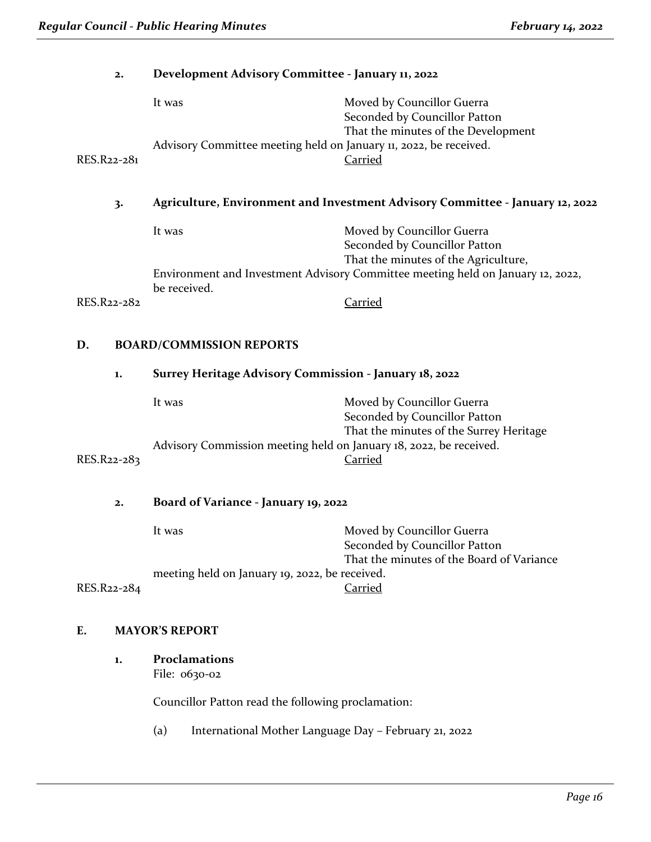| 2.                                    | Development Advisory Committee - January 11, 2022                             |                                                                                                                         |  |
|---------------------------------------|-------------------------------------------------------------------------------|-------------------------------------------------------------------------------------------------------------------------|--|
|                                       | It was                                                                        | Moved by Councillor Guerra<br>Seconded by Councillor Patton<br>That the minutes of the Development                      |  |
| RES.R22-281                           | Advisory Committee meeting held on January 11, 2022, be received.             | Carried                                                                                                                 |  |
| 3.                                    | Agriculture, Environment and Investment Advisory Committee - January 12, 2022 |                                                                                                                         |  |
|                                       | It was                                                                        | Moved by Councillor Guerra<br>Seconded by Councillor Patton                                                             |  |
|                                       | be received.                                                                  | That the minutes of the Agriculture,<br>Environment and Investment Advisory Committee meeting held on January 12, 2022, |  |
| RES.R22-282                           |                                                                               | Carried                                                                                                                 |  |
| D.<br><b>BOARD/COMMISSION REPORTS</b> |                                                                               |                                                                                                                         |  |
| 1.                                    | Surrey Heritage Advisory Commission - January 18, 2022                        |                                                                                                                         |  |
|                                       | It was                                                                        | Moved by Councillor Guerra<br>Seconded by Councillor Patton<br>That the minutes of the Surrey Heritage                  |  |
| RES.R22-283                           | Advisory Commission meeting held on January 18, 2022, be received.            | Carried                                                                                                                 |  |
| 2.                                    | Board of Variance - January 19, 2022                                          |                                                                                                                         |  |
|                                       | It was                                                                        | Moved by Councillor Guerra<br>Seconded by Councillor Patton<br>That the minutes of the Board of Variance                |  |
| RES.R22-284                           | meeting held on January 19, 2022, be received.                                | Carried                                                                                                                 |  |

# **E. MAYOR'S REPORT**

**1. Proclamations** File: 0630-02

Councillor Patton read the following proclamation:

(a) International Mother Language Day – February 21, 2022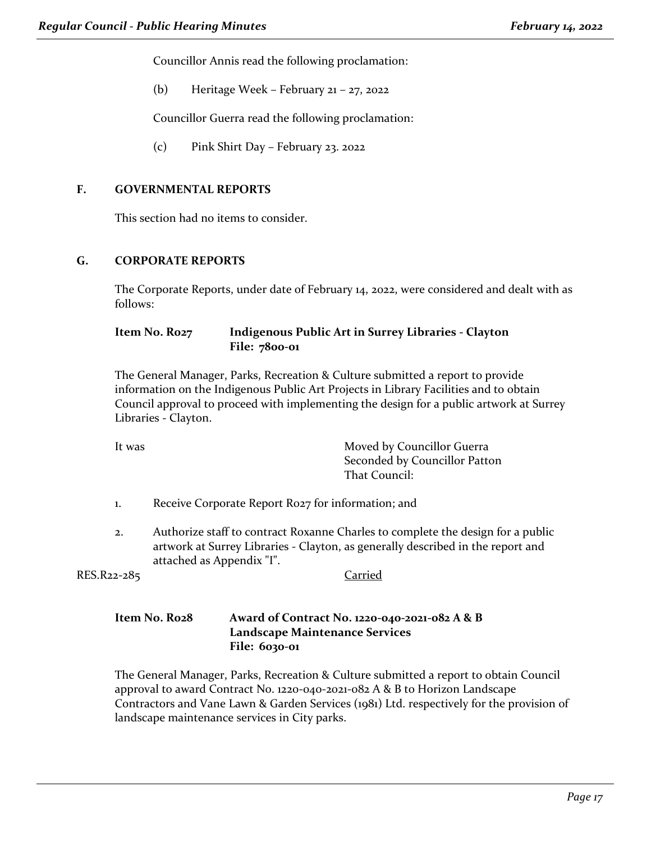Councillor Annis read the following proclamation:

(b) Heritage Week – February 21 – 27, 2022

Councillor Guerra read the following proclamation:

(c) Pink Shirt Day – February 23. 2022

#### **F. GOVERNMENTAL REPORTS**

This section had no items to consider.

#### **G. CORPORATE REPORTS**

The Corporate Reports, under date of February 14, 2022, were considered and dealt with as follows:

#### **Item No. R027 Indigenous Public Art in Surrey Libraries - Clayton File: 7800-01**

The General Manager, Parks, Recreation & Culture submitted a report to provide information on the Indigenous Public Art Projects in Library Facilities and to obtain Council approval to proceed with implementing the design for a public artwork at Surrey Libraries - Clayton.

It was **Moved by Councillor Guerra** Seconded by Councillor Patton That Council:

- 1. Receive Corporate Report R027 for information; and
- 2. Authorize staff to contract Roxanne Charles to complete the design for a public artwork at Surrey Libraries - Clayton, as generally described in the report and attached as Appendix "I".

RES.R22-285 Carried

#### **Item No. R028 Award of Contract No. 1220-040-2021-082 A & B Landscape Maintenance Services File: 6030-01**

The General Manager, Parks, Recreation & Culture submitted a report to obtain Council approval to award Contract No. 1220-040-2021-082 A & B to Horizon Landscape Contractors and Vane Lawn & Garden Services (1981) Ltd. respectively for the provision of landscape maintenance services in City parks.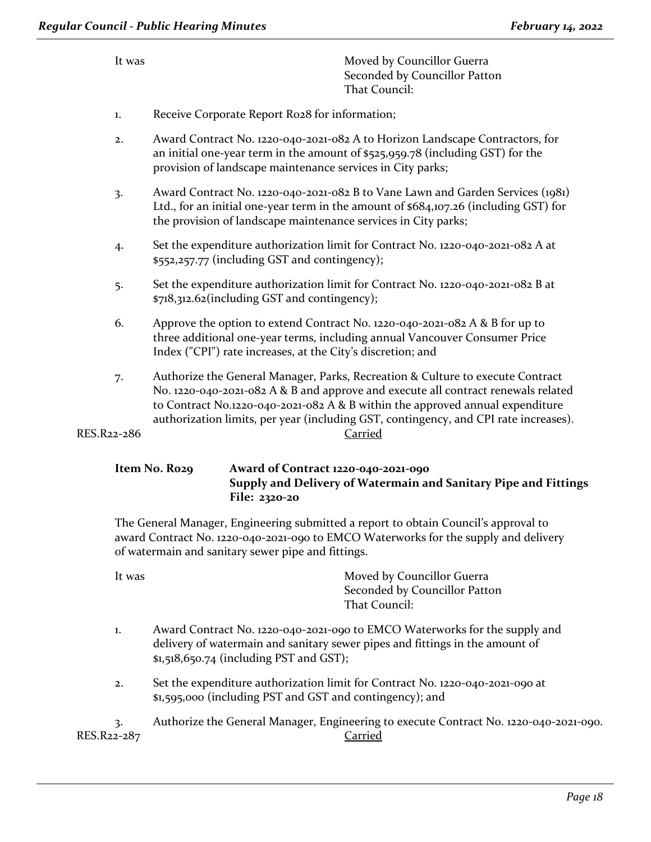| 1. | Receive Corporate Report Ro28 for information;                                                                                                                                                                                                       |
|----|------------------------------------------------------------------------------------------------------------------------------------------------------------------------------------------------------------------------------------------------------|
| 2. | Award Contract No. 1220-040-2021-082 A to Horizon Landscape Contractors, for<br>an initial one-year term in the amount of $$525,959.78$ (including GST) for the<br>provision of landscape maintenance services in City parks;                        |
| 3. | Award Contract No. 1220-040-2021-082 B to Vane Lawn and Garden Services (1981)<br>Ltd., for an initial one-year term in the amount of \$684,107.26 (including GST) for<br>the provision of landscape maintenance services in City parks;             |
| 4. | Set the expenditure authorization limit for Contract No. 1220-040-2021-082 A at<br>\$552,257.77 (including GST and contingency);                                                                                                                     |
| 5. | Set the expenditure authorization limit for Contract No. 1220-040-2021-082 B at<br>\$718,312.62(including GST and contingency);                                                                                                                      |
| 6. | Approve the option to extend Contract No. 1220-040-2021-082 A & B for up to<br>three additional one-year terms, including annual Vancouver Consumer Price<br>Index ("CPI") rate increases, at the City's discretion; and                             |
| 7. | Authorize the General Manager, Parks, Recreation & Culture to execute Contract<br>No. 1220-040-2021-082 A & B and approve and execute all contract renewals related<br>to Contract No.1220-040-2021-082 A & B within the approved annual expenditure |

Seconded by Councillor Patton

That Council:

It was **Moved by Councillor Guerra** 

authorization limits, per year (including GST, contingency, and CPI rate increases). RES.R22-286 Carried

### **Item No. R029 Award of Contract 1220-040-2021-090 Supply and Delivery of Watermain and Sanitary Pipe and Fittings File: 2320-20**

The General Manager, Engineering submitted a report to obtain Council's approval to award Contract No. 1220-040-2021-090 to EMCO Waterworks for the supply and delivery of watermain and sanitary sewer pipe and fittings.

It was **Moved by Councillor Guerra** Seconded by Councillor Patton That Council:

- 1. Award Contract No. 1220-040-2021-090 to EMCO Waterworks for the supply and delivery of watermain and sanitary sewer pipes and fittings in the amount of \$1,518,650.74 (including PST and GST);
- 2. Set the expenditure authorization limit for Contract No. 1220-040-2021-090 at \$1,595,000 (including PST and GST and contingency); and

3. Authorize the General Manager, Engineering to execute Contract No. 1220-040-2021-090. RES.R22-287 Carried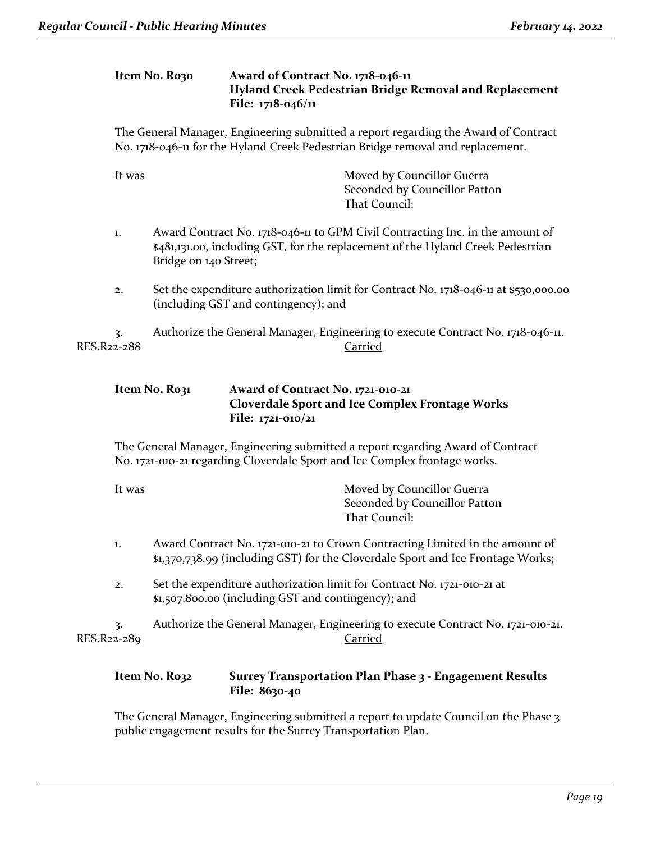#### **Item No. R030 Award of Contract No. 1718-046-11 Hyland Creek Pedestrian Bridge Removal and Replacement File: 1718-046/11**

The General Manager, Engineering submitted a report regarding the Award of Contract No. 1718-046-11 for the Hyland Creek Pedestrian Bridge removal and replacement.

| It was            | Moved by Councillor Guerra<br>Seconded by Councillor Patton<br>That Council:                                                                                                              |
|-------------------|-------------------------------------------------------------------------------------------------------------------------------------------------------------------------------------------|
| 1.                | Award Contract No. 1718-046-11 to GPM Civil Contracting Inc. in the amount of<br>\$481,131.00, including GST, for the replacement of the Hyland Creek Pedestrian<br>Bridge on 140 Street; |
| 2.                | Set the expenditure authorization limit for Contract No. 1718-046-11 at \$530,000.00<br>(including GST and contingency); and                                                              |
| 3.<br>RES.R22-288 | Authorize the General Manager, Engineering to execute Contract No. 1718-046-11.<br>Carried                                                                                                |
|                   | Item No. Ro31<br>Award of Contract No. 1721-010-21                                                                                                                                        |

The General Manager, Engineering submitted a report regarding Award of Contract No. 1721-010-21 regarding Cloverdale Sport and Ice Complex frontage works.

**Cloverdale Sport and Ice Complex Frontage Works**

| It was | Moved by Councillor Guerra    |
|--------|-------------------------------|
|        | Seconded by Councillor Patton |
|        | That Council:                 |

**File: 1721-010/21**

- 1. Award Contract No. 1721-010-21 to Crown Contracting Limited in the amount of \$1,370,738.99 (including GST) for the Cloverdale Sport and Ice Frontage Works;
- 2. Set the expenditure authorization limit for Contract No. 1721-010-21 at \$1,507,800.00 (including GST and contingency); and

3. Authorize the General Manager, Engineering to execute Contract No. 1721-010-21. RES.R22-289 Carried

#### **Item No. R032 Surrey Transportation Plan Phase 3 - Engagement Results File: 8630-40**

The General Manager, Engineering submitted a report to update Council on the Phase 3 public engagement results for the Surrey Transportation Plan.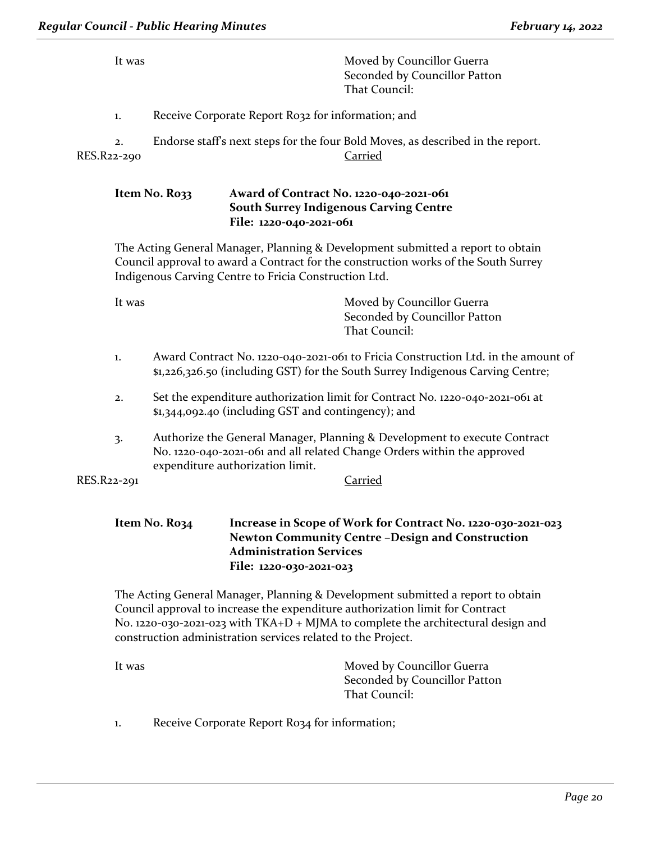It was **Moved by Councillor Guerra** Seconded by Councillor Patton That Council:

1. Receive Corporate Report R032 for information; and

2. Endorse staff's next steps for the four Bold Moves, as described in the report. RES.R22-290 Carried

#### **Item No. R033 Award of Contract No. 1220-040-2021-061 South Surrey Indigenous Carving Centre File: 1220-040-2021-061**

The Acting General Manager, Planning & Development submitted a report to obtain Council approval to award a Contract for the construction works of the South Surrey Indigenous Carving Centre to Fricia Construction Ltd.

It was **Moved by Councillor Guerra** Seconded by Councillor Patton That Council:

- 1. Award Contract No. 1220-040-2021-061 to Fricia Construction Ltd. in the amount of \$1,226,326.50 (including GST) for the South Surrey Indigenous Carving Centre;
- 2. Set the expenditure authorization limit for Contract No. 1220-040-2021-061 at \$1,344,092.40 (including GST and contingency); and
- 3. Authorize the General Manager, Planning & Development to execute Contract No. 1220-040-2021-061 and all related Change Orders within the approved expenditure authorization limit.

RES.R22-291 Carried

#### **Item No. R034 Increase in Scope of Work for Contract No. 1220-030-2021-023 Newton Community Centre –Design and Construction Administration Services File: 1220-030-2021-023**

The Acting General Manager, Planning & Development submitted a report to obtain Council approval to increase the expenditure authorization limit for Contract No. 1220-030-2021-023 with TKA+D + MJMA to complete the architectural design and construction administration services related to the Project.

| It was | Moved by Councillor Guerra    |
|--------|-------------------------------|
|        | Seconded by Councillor Patton |
|        | That Council:                 |

1. Receive Corporate Report R034 for information;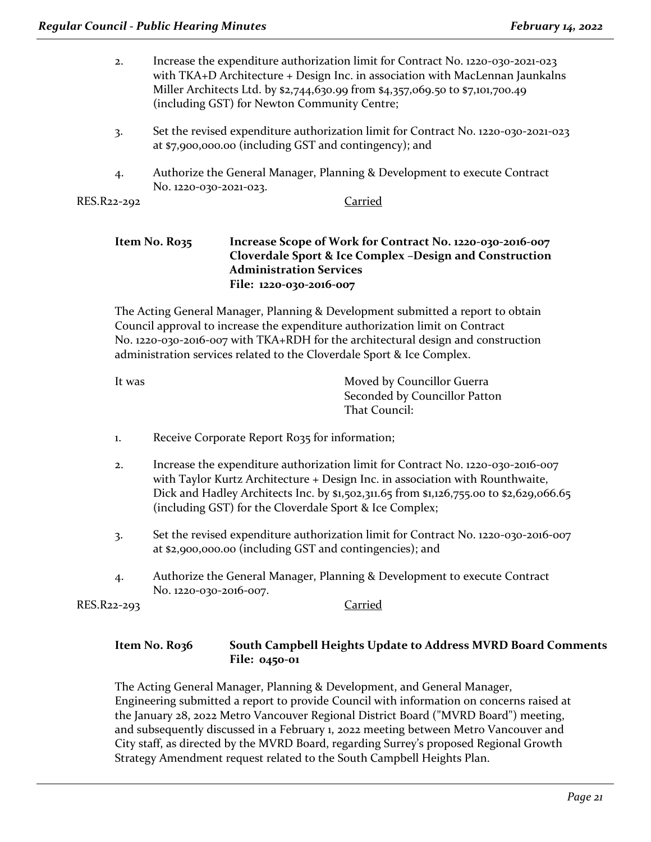- 2. Increase the expenditure authorization limit for Contract No. 1220-030-2021-023 with TKA+D Architecture + Design Inc. in association with MacLennan Jaunkalns Miller Architects Ltd. by \$2,744,630.99 from \$4,357,069.50 to \$7,101,700.49 (including GST) for Newton Community Centre;
- 3. Set the revised expenditure authorization limit for Contract No. 1220-030-2021-023 at \$7,900,000.00 (including GST and contingency); and
- 4. Authorize the General Manager, Planning & Development to execute Contract No. 1220-030-2021-023.

RES.R22-292 Carried

#### **Item No. R035 Increase Scope of Work for Contract No. 1220-030-2016-007 Cloverdale Sport & Ice Complex –Design and Construction Administration Services File: 1220-030-2016-007**

The Acting General Manager, Planning & Development submitted a report to obtain Council approval to increase the expenditure authorization limit on Contract No. 1220-030-2016-007 with TKA+RDH for the architectural design and construction administration services related to the Cloverdale Sport & Ice Complex.

| It was | Moved by Councillor Guerra    |
|--------|-------------------------------|
|        | Seconded by Councillor Patton |
|        | That Council:                 |

- 1. Receive Corporate Report R035 for information;
- 2. Increase the expenditure authorization limit for Contract No. 1220-030-2016-007 with Taylor Kurtz Architecture + Design Inc. in association with Rounthwaite, Dick and Hadley Architects Inc. by \$1,502,311.65 from \$1,126,755.00 to \$2,629,066.65 (including GST) for the Cloverdale Sport & Ice Complex;
- 3. Set the revised expenditure authorization limit for Contract No. 1220-030-2016-007 at \$2,900,000.00 (including GST and contingencies); and
- 4. Authorize the General Manager, Planning & Development to execute Contract No. 1220-030-2016-007.

RES.R22-293 Carried

# **Item No. R036 South Campbell Heights Update to Address MVRD Board Comments File: 0450-01**

The Acting General Manager, Planning & Development, and General Manager, Engineering submitted a report to provide Council with information on concerns raised at the January 28, 2022 Metro Vancouver Regional District Board ("MVRD Board") meeting, and subsequently discussed in a February 1, 2022 meeting between Metro Vancouver and City staff, as directed by the MVRD Board, regarding Surrey's proposed Regional Growth Strategy Amendment request related to the South Campbell Heights Plan.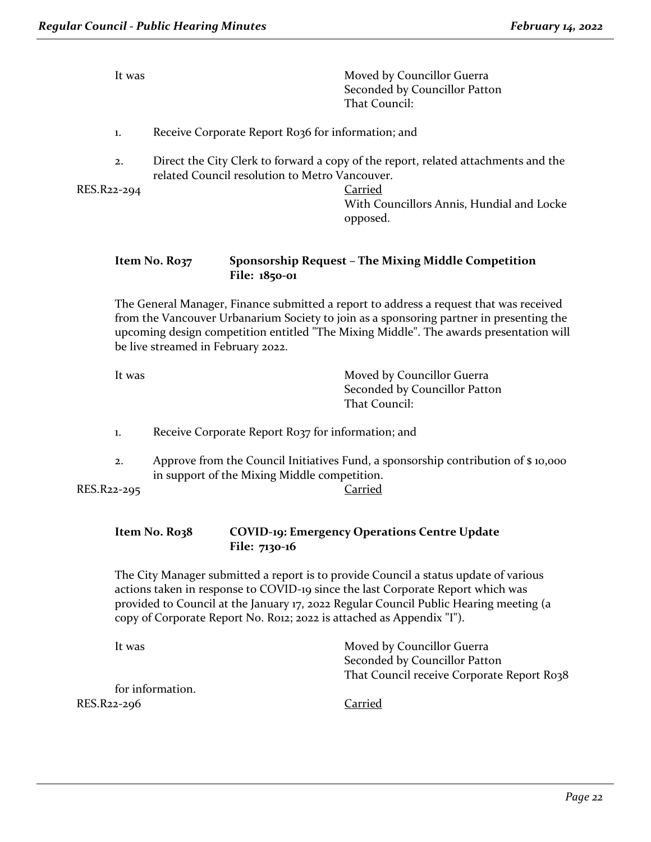| It was      | Moved by Councillor Guerra<br>Seconded by Councillor Patton<br>That Council:                                                         |
|-------------|--------------------------------------------------------------------------------------------------------------------------------------|
| 1.          | Receive Corporate Report Ro36 for information; and                                                                                   |
| 2.          | Direct the City Clerk to forward a copy of the report, related attachments and the<br>related Council resolution to Metro Vancouver. |
| RES.R22-294 | Carried<br>With Councillors Annis, Hundial and Locke<br>opposed.                                                                     |
|             |                                                                                                                                      |

#### **Item No. R037 Sponsorship Request – The Mixing Middle Competition File: 1850-01**

The General Manager, Finance submitted a report to address a request that was received from the Vancouver Urbanarium Society to join as a sponsoring partner in presenting the upcoming design competition entitled "The Mixing Middle". The awards presentation will be live streamed in February 2022.

| Moved by Councillor Guerra    |
|-------------------------------|
| Seconded by Councillor Patton |
| That Council:                 |
|                               |

- 1. Receive Corporate Report R037 for information; and
- 2. Approve from the Council Initiatives Fund, a sponsorship contribution of \$ 10,000 in support of the Mixing Middle competition.

RES.R22-295 Carried

# **Item No. R038 COVID-19: Emergency Operations Centre Update File: 7130-16**

The City Manager submitted a report is to provide Council a status update of various actions taken in response to COVID-19 since the last Corporate Report which was provided to Council at the January 17, 2022 Regular Council Public Hearing meeting (a copy of Corporate Report No. R012; 2022 is attached as Appendix "I").

| It was           | Moved by Councillor Guerra                 |
|------------------|--------------------------------------------|
|                  | Seconded by Councillor Patton              |
|                  | That Council receive Corporate Report Ro38 |
| for information. |                                            |
| RES.R22-296      | Carried                                    |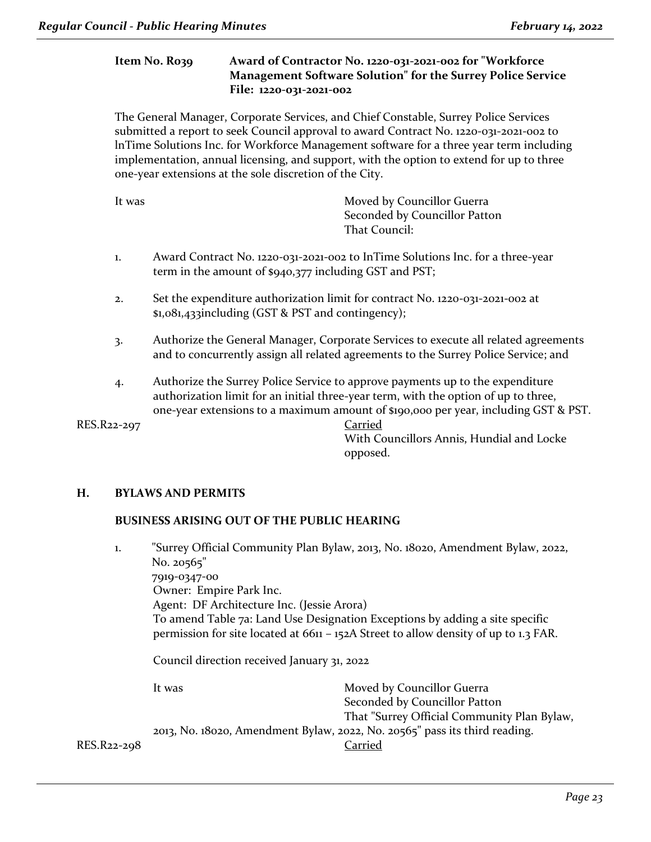#### **Item No. R039 Award of Contractor No. 1220-031-2021-002 for "Workforce Management Software Solution" for the Surrey Police Service File: 1220-031-2021-002**

The General Manager, Corporate Services, and Chief Constable, Surrey Police Services submitted a report to seek Council approval to award Contract No. 1220-031-2021-002 to lnTime Solutions Inc. for Workforce Management software for a three year term including implementation, annual licensing, and support, with the option to extend for up to three one-year extensions at the sole discretion of the City.

| It was | Moved by Councillor Guerra    |
|--------|-------------------------------|
|        | Seconded by Councillor Patton |
|        | That Council:                 |

- 1. Award Contract No. 1220-031-2021-002 to InTime Solutions Inc. for a three-year term in the amount of \$940,377 including GST and PST;
- 2. Set the expenditure authorization limit for contract No. 1220-031-2021-002 at \$1,081,433including (GST & PST and contingency);
- 3. Authorize the General Manager, Corporate Services to execute all related agreements and to concurrently assign all related agreements to the Surrey Police Service; and
- 4. Authorize the Surrey Police Service to approve payments up to the expenditure authorization limit for an initial three-year term, with the option of up to three, one-year extensions to a maximum amount of \$190,000 per year, including GST & PST.

RES.R22-297 Carried

With Councillors Annis, Hundial and Locke opposed.

#### **H. BYLAWS AND PERMITS**

#### **BUSINESS ARISING OUT OF THE PUBLIC HEARING**

1. "Surrey Official Community Plan Bylaw, 2013, No. 18020, Amendment Bylaw, 2022, No. 20565" 7919-0347-00 Owner: Empire Park Inc. Agent: DF Architecture Inc. (Jessie Arora) To amend Table 7a: Land Use Designation Exceptions by adding a site specific permission for site located at 6611 – 152A Street to allow density of up to 1.3 FAR. Council direction received January 31, 2022 It was **Moved by Councillor Guerra** Seconded by Councillor Patton That "Surrey Official Community Plan Bylaw, 2013, No. 18020, Amendment Bylaw, 2022, No. 20565" pass its third reading. RES.R22-298 Carried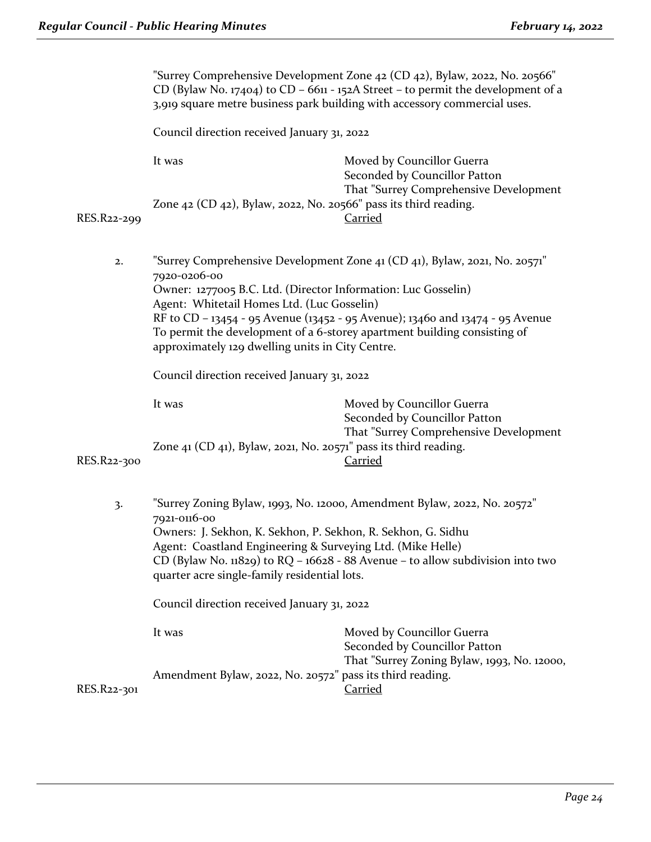|             | "Surrey Comprehensive Development Zone 42 (CD 42), Bylaw, 2022, No. 20566"<br>CD (Bylaw No. 17404) to CD - 6611 - 152A Street - to permit the development of a<br>3,919 square metre business park building with accessory commercial uses.                                                                                                                                                                                |                                                                                                                         |  |
|-------------|----------------------------------------------------------------------------------------------------------------------------------------------------------------------------------------------------------------------------------------------------------------------------------------------------------------------------------------------------------------------------------------------------------------------------|-------------------------------------------------------------------------------------------------------------------------|--|
|             | Council direction received January 31, 2022                                                                                                                                                                                                                                                                                                                                                                                |                                                                                                                         |  |
|             | It was                                                                                                                                                                                                                                                                                                                                                                                                                     | Moved by Councillor Guerra<br>Seconded by Councillor Patton<br>That "Surrey Comprehensive Development                   |  |
| RES.R22-299 | Zone $42$ (CD $42$ ), Bylaw, 2022, No. 20566" pass its third reading.                                                                                                                                                                                                                                                                                                                                                      | <b>Carried</b>                                                                                                          |  |
| 2.          | "Surrey Comprehensive Development Zone 41 (CD 41), Bylaw, 2021, No. 20571"<br>7920-0206-00<br>Owner: 1277005 B.C. Ltd. (Director Information: Luc Gosselin)<br>Agent: Whitetail Homes Ltd. (Luc Gosselin)<br>RF to CD - 13454 - 95 Avenue (13452 - 95 Avenue); 13460 and 13474 - 95 Avenue<br>To permit the development of a 6-storey apartment building consisting of<br>approximately 129 dwelling units in City Centre. |                                                                                                                         |  |
|             | Council direction received January 31, 2022                                                                                                                                                                                                                                                                                                                                                                                |                                                                                                                         |  |
| RES.R22-300 | It was<br>Zone $41$ (CD $41$ ), Bylaw, 2021, No. 20571" pass its third reading.                                                                                                                                                                                                                                                                                                                                            | Moved by Councillor Guerra<br>Seconded by Councillor Patton<br>That "Surrey Comprehensive Development<br><b>Carried</b> |  |
| 3.          | "Surrey Zoning Bylaw, 1993, No. 12000, Amendment Bylaw, 2022, No. 20572"<br>7921-0116-00<br>Owners: J. Sekhon, K. Sekhon, P. Sekhon, R. Sekhon, G. Sidhu<br>Agent: Coastland Engineering & Surveying Ltd. (Mike Helle)<br>CD (Bylaw No. $11829$ ) to RQ - $16628 - 88$ Avenue - to allow subdivision into two<br>quarter acre single-family residential lots.                                                              |                                                                                                                         |  |
|             | Council direction received January 31, 2022                                                                                                                                                                                                                                                                                                                                                                                |                                                                                                                         |  |
|             | It was                                                                                                                                                                                                                                                                                                                                                                                                                     | Moved by Councillor Guerra<br>Seconded by Councillor Patton<br>That "Surrey Zoning Bylaw, 1993, No. 12000,              |  |
| RES.R22-301 | Amendment Bylaw, 2022, No. 20572" pass its third reading.                                                                                                                                                                                                                                                                                                                                                                  | <b>Carried</b>                                                                                                          |  |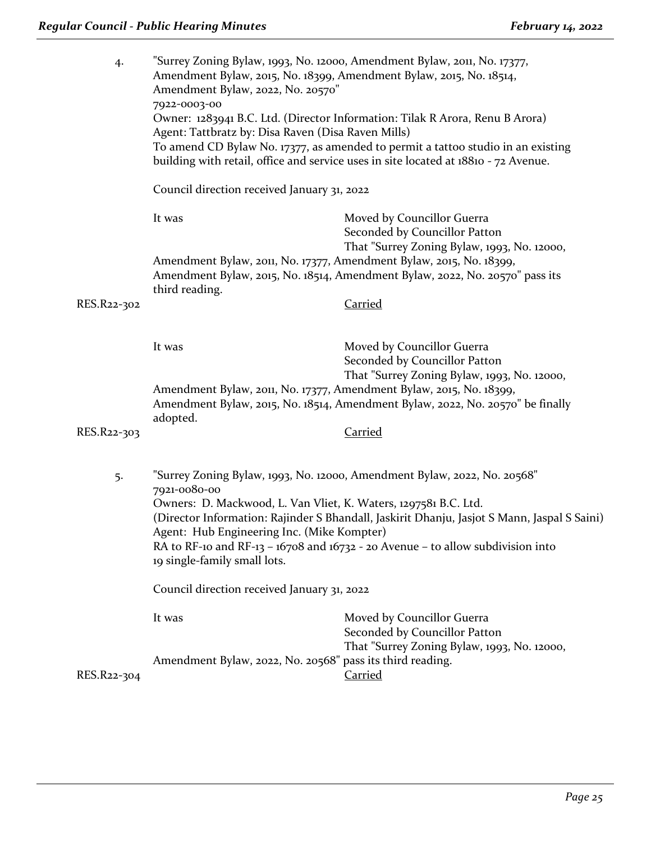| 4.          | "Surrey Zoning Bylaw, 1993, No. 12000, Amendment Bylaw, 2011, No. 17377,<br>Amendment Bylaw, 2015, No. 18399, Amendment Bylaw, 2015, No. 18514,<br>Amendment Bylaw, 2022, No. 20570"<br>7922-0003-00                                                                                                                            |                                                                                                                                                                  |  |
|-------------|---------------------------------------------------------------------------------------------------------------------------------------------------------------------------------------------------------------------------------------------------------------------------------------------------------------------------------|------------------------------------------------------------------------------------------------------------------------------------------------------------------|--|
|             | Agent: Tattbratz by: Disa Raven (Disa Raven Mills)                                                                                                                                                                                                                                                                              | Owner: 1283941 B.C. Ltd. (Director Information: Tilak R Arora, Renu B Arora)<br>To amend CD Bylaw No. 17377, as amended to permit a tattoo studio in an existing |  |
|             |                                                                                                                                                                                                                                                                                                                                 | building with retail, office and service uses in site located at 18810 - 72 Avenue.                                                                              |  |
|             | Council direction received January 31, 2022                                                                                                                                                                                                                                                                                     |                                                                                                                                                                  |  |
|             | It was                                                                                                                                                                                                                                                                                                                          | Moved by Councillor Guerra<br>Seconded by Councillor Patton                                                                                                      |  |
|             | Amendment Bylaw, 2011, No. 17377, Amendment Bylaw, 2015, No. 18399,                                                                                                                                                                                                                                                             | That "Surrey Zoning Bylaw, 1993, No. 12000,<br>Amendment Bylaw, 2015, No. 18514, Amendment Bylaw, 2022, No. 20570" pass its                                      |  |
| RES.R22-302 | third reading.                                                                                                                                                                                                                                                                                                                  | Carried                                                                                                                                                          |  |
|             | It was                                                                                                                                                                                                                                                                                                                          | Moved by Councillor Guerra<br>Seconded by Councillor Patton                                                                                                      |  |
|             | Amendment Bylaw, 2011, No. 17377, Amendment Bylaw, 2015, No. 18399,<br>adopted.                                                                                                                                                                                                                                                 | That "Surrey Zoning Bylaw, 1993, No. 12000,<br>Amendment Bylaw, 2015, No. 18514, Amendment Bylaw, 2022, No. 20570" be finally                                    |  |
| RES.R22-303 |                                                                                                                                                                                                                                                                                                                                 | <b>Carried</b>                                                                                                                                                   |  |
| 5.          | "Surrey Zoning Bylaw, 1993, No. 12000, Amendment Bylaw, 2022, No. 20568"<br>7921-0080-00                                                                                                                                                                                                                                        |                                                                                                                                                                  |  |
|             | Owners: D. Mackwood, L. Van Vliet, K. Waters, 1297581 B.C. Ltd.<br>(Director Information: Rajinder S Bhandall, Jaskirit Dhanju, Jasjot S Mann, Jaspal S Saini)<br>Agent: Hub Engineering Inc. (Mike Kompter)<br>RA to RF-10 and RF-13 - 16708 and 16732 - 20 Avenue - to allow subdivision into<br>19 single-family small lots. |                                                                                                                                                                  |  |
|             | Council direction received January 31, 2022                                                                                                                                                                                                                                                                                     |                                                                                                                                                                  |  |
|             | It was                                                                                                                                                                                                                                                                                                                          | Moved by Councillor Guerra<br>Seconded by Councillor Patton                                                                                                      |  |
| RES.R22-304 | Amendment Bylaw, 2022, No. 20568" pass its third reading.                                                                                                                                                                                                                                                                       | That "Surrey Zoning Bylaw, 1993, No. 12000,<br><b>Carried</b>                                                                                                    |  |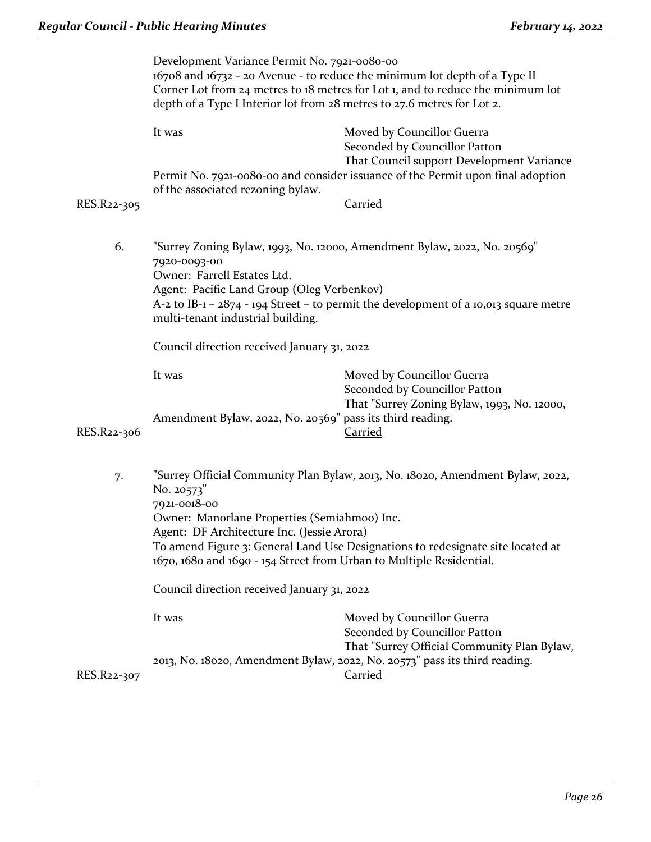| Development Variance Permit No. 7921-0080-00<br>16708 and 16732 - 20 Avenue - to reduce the minimum lot depth of a Type II<br>Corner Lot from 24 metres to 18 metres for Lot 1, and to reduce the minimum lot<br>depth of a Type I Interior lot from 28 metres to 27.6 metres for Lot 2. |                                                                                                                                                                                                                                                                                                                                                                       |                                                                                                                                                                  |  |
|------------------------------------------------------------------------------------------------------------------------------------------------------------------------------------------------------------------------------------------------------------------------------------------|-----------------------------------------------------------------------------------------------------------------------------------------------------------------------------------------------------------------------------------------------------------------------------------------------------------------------------------------------------------------------|------------------------------------------------------------------------------------------------------------------------------------------------------------------|--|
|                                                                                                                                                                                                                                                                                          | It was                                                                                                                                                                                                                                                                                                                                                                | Moved by Councillor Guerra<br>Seconded by Councillor Patton<br>That Council support Development Variance                                                         |  |
|                                                                                                                                                                                                                                                                                          | Permit No. 7921-0080-00 and consider issuance of the Permit upon final adoption<br>of the associated rezoning bylaw.                                                                                                                                                                                                                                                  |                                                                                                                                                                  |  |
| RES.R22-305                                                                                                                                                                                                                                                                              |                                                                                                                                                                                                                                                                                                                                                                       | <b>Carried</b>                                                                                                                                                   |  |
| 6.                                                                                                                                                                                                                                                                                       | 7920-0093-00<br>Owner: Farrell Estates Ltd.<br>Agent: Pacific Land Group (Oleg Verbenkov)                                                                                                                                                                                                                                                                             | "Surrey Zoning Bylaw, 1993, No. 12000, Amendment Bylaw, 2022, No. 20569"<br>A-2 to IB-1 - 2874 - 194 Street - to permit the development of a 10,013 square metre |  |
|                                                                                                                                                                                                                                                                                          | multi-tenant industrial building.                                                                                                                                                                                                                                                                                                                                     |                                                                                                                                                                  |  |
|                                                                                                                                                                                                                                                                                          | Council direction received January 31, 2022                                                                                                                                                                                                                                                                                                                           |                                                                                                                                                                  |  |
|                                                                                                                                                                                                                                                                                          | It was                                                                                                                                                                                                                                                                                                                                                                | Moved by Councillor Guerra<br>Seconded by Councillor Patton<br>That "Surrey Zoning Bylaw, 1993, No. 12000,                                                       |  |
| RES.R22-306                                                                                                                                                                                                                                                                              | Amendment Bylaw, 2022, No. 20569" pass its third reading.                                                                                                                                                                                                                                                                                                             | <b>Carried</b>                                                                                                                                                   |  |
| 7.                                                                                                                                                                                                                                                                                       | "Surrey Official Community Plan Bylaw, 2013, No. 18020, Amendment Bylaw, 2022,<br>No. 20573"<br>7921-0018-00<br>Owner: Manorlane Properties (Semiahmoo) Inc.<br>Agent: DF Architecture Inc. (Jessie Arora)<br>To amend Figure 3: General Land Use Designations to redesignate site located at<br>1670, 1680 and 1690 - 154 Street from Urban to Multiple Residential. |                                                                                                                                                                  |  |
|                                                                                                                                                                                                                                                                                          | Council direction received January 31, 2022                                                                                                                                                                                                                                                                                                                           |                                                                                                                                                                  |  |
|                                                                                                                                                                                                                                                                                          | It was                                                                                                                                                                                                                                                                                                                                                                | Moved by Councillor Guerra<br>Seconded by Councillor Patton                                                                                                      |  |
| RES.R22-307                                                                                                                                                                                                                                                                              | That "Surrey Official Community Plan Bylaw,<br>2013, No. 18020, Amendment Bylaw, 2022, No. 20573" pass its third reading.<br><b>Carried</b>                                                                                                                                                                                                                           |                                                                                                                                                                  |  |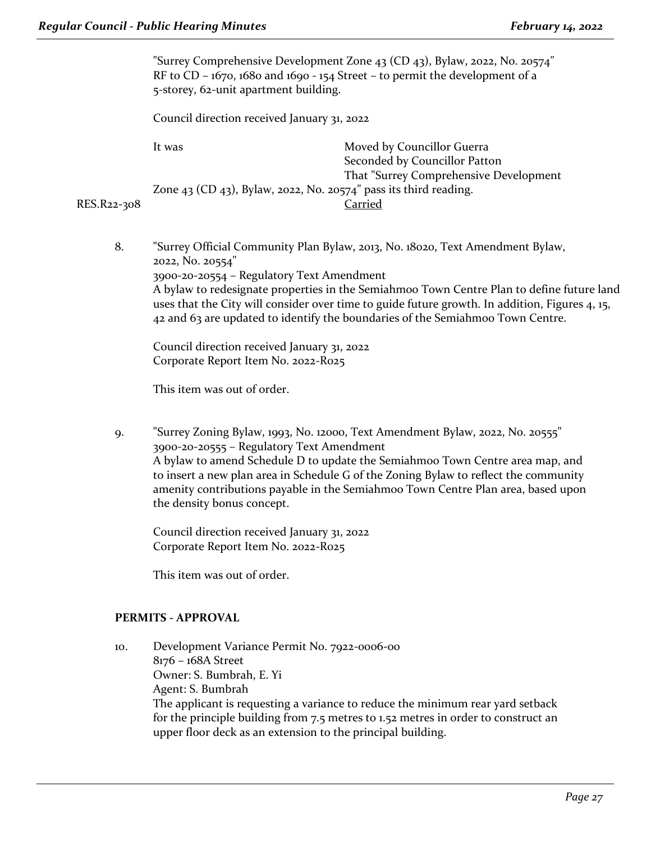|             | "Surrey Comprehensive Development Zone 43 (CD 43), Bylaw, 2022, No. 20574"<br>RF to CD – $1670$ , $1680$ and $1690 - 154$ Street – to permit the development of a<br>5-storey, 62-unit apartment building. |                                                             |
|-------------|------------------------------------------------------------------------------------------------------------------------------------------------------------------------------------------------------------|-------------------------------------------------------------|
|             | Council direction received January 31, 2022                                                                                                                                                                |                                                             |
|             | It was                                                                                                                                                                                                     | Moved by Councillor Guerra<br>Seconded by Councillor Patton |
| RES.R22-308 | That "Surrey Comprehensive Development<br>Zone 43 (CD 43), Bylaw, 2022, No. 20574" pass its third reading.<br>Carried                                                                                      |                                                             |
|             |                                                                                                                                                                                                            |                                                             |

8. "Surrey Official Community Plan Bylaw, 2013, No. 18020, Text Amendment Bylaw, 2022, No. 20554" 3900-20-20554 – Regulatory Text Amendment A bylaw to redesignate properties in the Semiahmoo Town Centre Plan to define future land uses that the City will consider over time to guide future growth. In addition, Figures 4, 15, 42 and 63 are updated to identify the boundaries of the Semiahmoo Town Centre.

Council direction received January 31, 2022 Corporate Report Item No. 2022-R025

This item was out of order.

9. "Surrey Zoning Bylaw, 1993, No. 12000, Text Amendment Bylaw, 2022, No. 20555" 3900-20-20555 – Regulatory Text Amendment A bylaw to amend Schedule D to update the Semiahmoo Town Centre area map, and to insert a new plan area in Schedule G of the Zoning Bylaw to reflect the community amenity contributions payable in the Semiahmoo Town Centre Plan area, based upon the density bonus concept.

Council direction received January 31, 2022 Corporate Report Item No. 2022-R025

This item was out of order.

#### **PERMITS - APPROVAL**

10. Development Variance Permit No. 7922-0006-00 8176 – 168A Street Owner: S. Bumbrah, E. Yi Agent: S. Bumbrah The applicant is requesting a variance to reduce the minimum rear yard setback for the principle building from 7.5 metres to 1.52 metres in order to construct an upper floor deck as an extension to the principal building.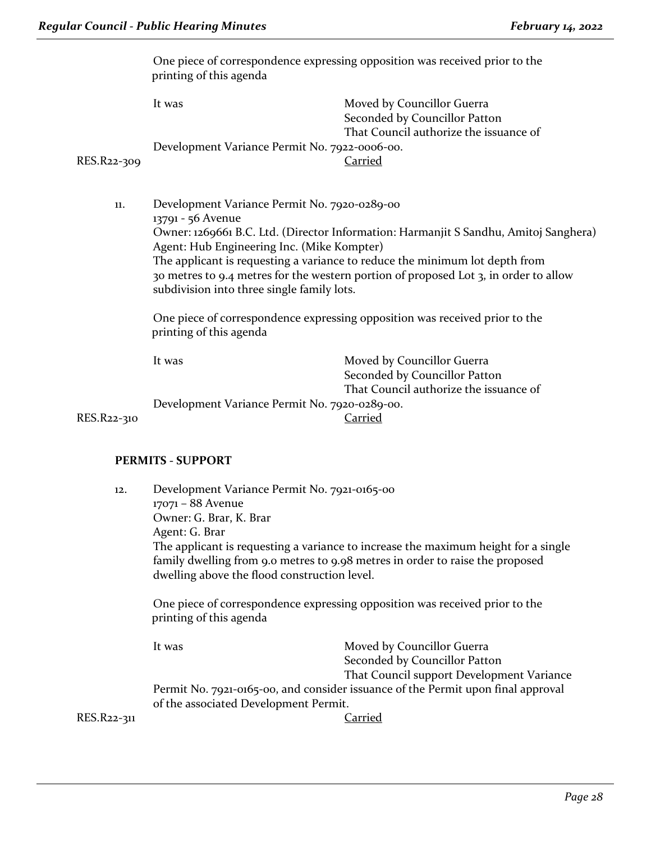One piece of correspondence expressing opposition was received prior to the printing of this agenda

|             | It was                                        | Moved by Councillor Guerra             |
|-------------|-----------------------------------------------|----------------------------------------|
|             |                                               | Seconded by Councillor Patton          |
|             |                                               | That Council authorize the issuance of |
|             | Development Variance Permit No. 7922-0006-00. |                                        |
| RES.R22-309 |                                               | Carried                                |

11. Development Variance Permit No. 7920-0289-00 13791 - 56 Avenue Owner: 1269661 B.C. Ltd. (Director Information: Harmanjit S Sandhu, Amitoj Sanghera) Agent: Hub Engineering Inc. (Mike Kompter) The applicant is requesting a variance to reduce the minimum lot depth from 30 metres to 9.4 metres for the western portion of proposed Lot 3, in order to allow subdivision into three single family lots.

One piece of correspondence expressing opposition was received prior to the printing of this agenda

|             | It was                                        | Moved by Councillor Guerra             |
|-------------|-----------------------------------------------|----------------------------------------|
|             |                                               | Seconded by Councillor Patton          |
|             |                                               | That Council authorize the issuance of |
|             | Development Variance Permit No. 7920-0289-00. |                                        |
| RES.R22-310 |                                               | Carried                                |

#### **PERMITS - SUPPORT**

| 12.         | Development Variance Permit No. 7921-0165-00<br>17071 - 88 Avenue<br>Owner: G. Brar, K. Brar<br>Agent: G. Brar<br>The applicant is requesting a variance to increase the maximum height for a single<br>family dwelling from 9.0 metres to 9.98 metres in order to raise the proposed |                                                                                                          |  |
|-------------|---------------------------------------------------------------------------------------------------------------------------------------------------------------------------------------------------------------------------------------------------------------------------------------|----------------------------------------------------------------------------------------------------------|--|
|             | dwelling above the flood construction level.<br>One piece of correspondence expressing opposition was received prior to the<br>printing of this agenda                                                                                                                                |                                                                                                          |  |
|             | It was                                                                                                                                                                                                                                                                                | Moved by Councillor Guerra<br>Seconded by Councillor Patton<br>That Council support Development Variance |  |
| RES.R22-311 | Permit No. 7921-0165-00, and consider issuance of the Permit upon final approval<br>of the associated Development Permit.<br>larried                                                                                                                                                  |                                                                                                          |  |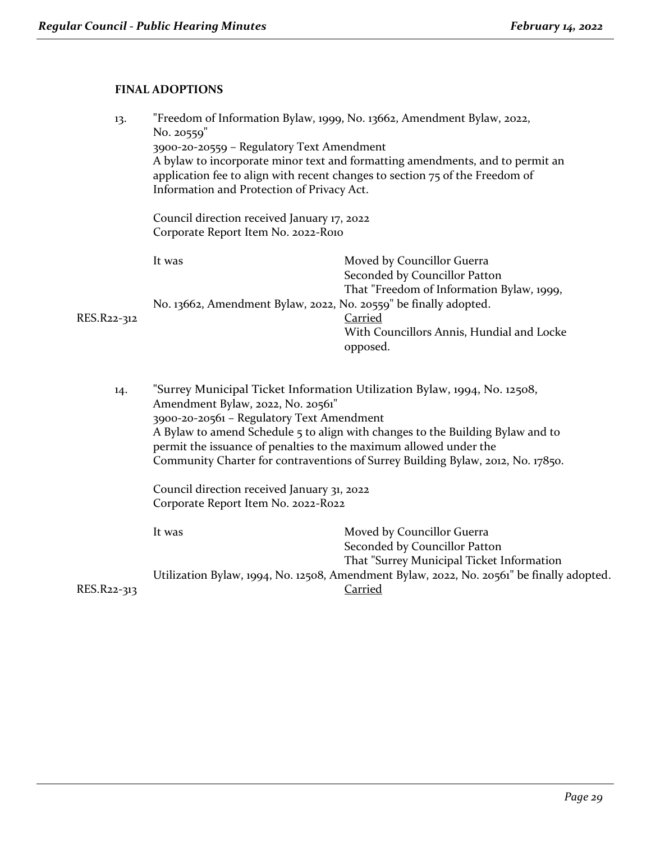# **FINAL ADOPTIONS**

| 13.         | No. 20559"<br>3900-20-20559 - Regulatory Text Amendment<br>Information and Protection of Privacy Act.<br>Council direction received January 17, 2022<br>Corporate Report Item No. 2022-Roio                                                                                                                                                                                                          | "Freedom of Information Bylaw, 1999, No. 13662, Amendment Bylaw, 2022,<br>A bylaw to incorporate minor text and formatting amendments, and to permit an<br>application fee to align with recent changes to section 75 of the Freedom of |
|-------------|------------------------------------------------------------------------------------------------------------------------------------------------------------------------------------------------------------------------------------------------------------------------------------------------------------------------------------------------------------------------------------------------------|-----------------------------------------------------------------------------------------------------------------------------------------------------------------------------------------------------------------------------------------|
|             | It was                                                                                                                                                                                                                                                                                                                                                                                               | Moved by Councillor Guerra<br>Seconded by Councillor Patton<br>That "Freedom of Information Bylaw, 1999,                                                                                                                                |
| RES.R22-312 | No. 13662, Amendment Bylaw, 2022, No. 20559" be finally adopted.                                                                                                                                                                                                                                                                                                                                     | <b>Carried</b><br>With Councillors Annis, Hundial and Locke<br>opposed.                                                                                                                                                                 |
| 14.         | "Surrey Municipal Ticket Information Utilization Bylaw, 1994, No. 12508,<br>Amendment Bylaw, 2022, No. 20561"<br>3900-20-20561 - Regulatory Text Amendment<br>A Bylaw to amend Schedule 5 to align with changes to the Building Bylaw and to<br>permit the issuance of penalties to the maximum allowed under the<br>Community Charter for contraventions of Surrey Building Bylaw, 2012, No. 17850. |                                                                                                                                                                                                                                         |
|             | Council direction received January 31, 2022<br>Corporate Report Item No. 2022-R022                                                                                                                                                                                                                                                                                                                   |                                                                                                                                                                                                                                         |
|             | It was                                                                                                                                                                                                                                                                                                                                                                                               | Moved by Councillor Guerra<br>Seconded by Councillor Patton<br>That "Surrey Municipal Ticket Information                                                                                                                                |
| RES.R22-313 |                                                                                                                                                                                                                                                                                                                                                                                                      | Utilization Bylaw, 1994, No. 12508, Amendment Bylaw, 2022, No. 20561" be finally adopted.<br>Carried                                                                                                                                    |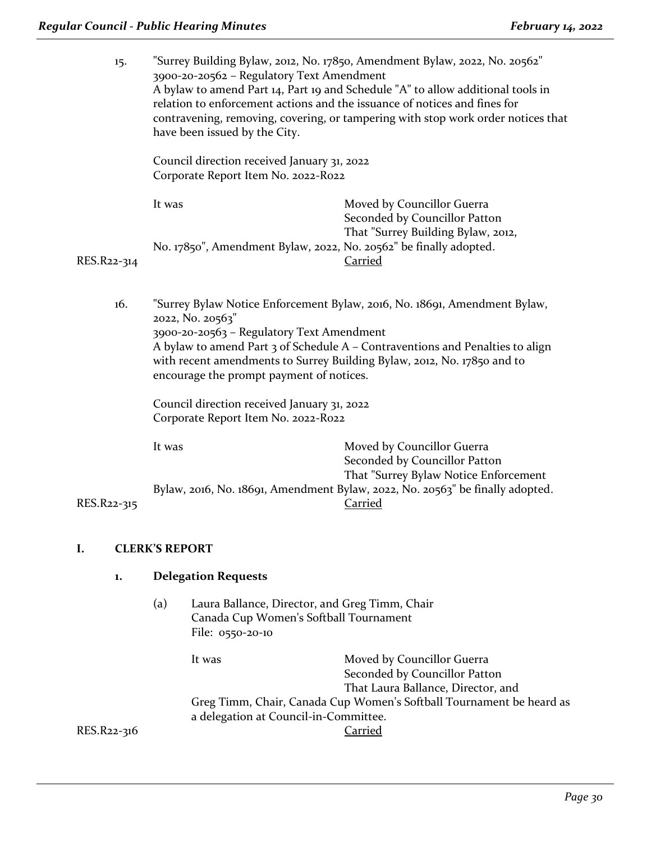| 15.         | "Surrey Building Bylaw, 2012, No. 17850, Amendment Bylaw, 2022, No. 20562"<br>3900-20-20562 - Regulatory Text Amendment<br>A bylaw to amend Part 14, Part 19 and Schedule "A" to allow additional tools in<br>relation to enforcement actions and the issuance of notices and fines for<br>contravening, removing, covering, or tampering with stop work order notices that<br>have been issued by the City.<br>Council direction received January 31, 2022<br>Corporate Report Item No. 2022-R022 |                                                                                                                                   |  |
|-------------|----------------------------------------------------------------------------------------------------------------------------------------------------------------------------------------------------------------------------------------------------------------------------------------------------------------------------------------------------------------------------------------------------------------------------------------------------------------------------------------------------|-----------------------------------------------------------------------------------------------------------------------------------|--|
|             |                                                                                                                                                                                                                                                                                                                                                                                                                                                                                                    |                                                                                                                                   |  |
|             | It was                                                                                                                                                                                                                                                                                                                                                                                                                                                                                             | Moved by Councillor Guerra<br>Seconded by Councillor Patton                                                                       |  |
| RES.R22-314 | No. 17850", Amendment Bylaw, 2022, No. 20562" be finally adopted.                                                                                                                                                                                                                                                                                                                                                                                                                                  | That "Surrey Building Bylaw, 2012,<br>Carried                                                                                     |  |
| 16.         | "Surrey Bylaw Notice Enforcement Bylaw, 2016, No. 18691, Amendment Bylaw,<br>2022, No. 20563"<br>3900-20-20563 - Regulatory Text Amendment<br>A bylaw to amend Part 3 of Schedule A - Contraventions and Penalties to align<br>with recent amendments to Surrey Building Bylaw, 2012, No. 17850 and to<br>encourage the prompt payment of notices.<br>Council direction received January 31, 2022                                                                                                  |                                                                                                                                   |  |
|             | Corporate Report Item No. 2022-R022<br>It was                                                                                                                                                                                                                                                                                                                                                                                                                                                      | Moved by Councillor Guerra<br>Seconded by Councillor Patton                                                                       |  |
| RES.R22-315 |                                                                                                                                                                                                                                                                                                                                                                                                                                                                                                    | That "Surrey Bylaw Notice Enforcement<br>Bylaw, 2016, No. 18691, Amendment Bylaw, 2022, No. 20563" be finally adopted.<br>Carried |  |
| I.          | <b>CLERK'S REPORT</b>                                                                                                                                                                                                                                                                                                                                                                                                                                                                              |                                                                                                                                   |  |
| 1.          | <b>Delegation Requests</b>                                                                                                                                                                                                                                                                                                                                                                                                                                                                         |                                                                                                                                   |  |
|             | Laura Ballance, Director, and Greg Timm, Chair<br>(a)<br>Canada Cup Women's Softball Tournament<br>File: 0550-20-10                                                                                                                                                                                                                                                                                                                                                                                |                                                                                                                                   |  |

It was Moved by Councillor Guerra Seconded by Councillor Patton That Laura Ballance, Director, and Greg Timm, Chair, Canada Cup Women's Softball Tournament be heard as a delegation at Council-in-Committee. RES.R22-316 Carried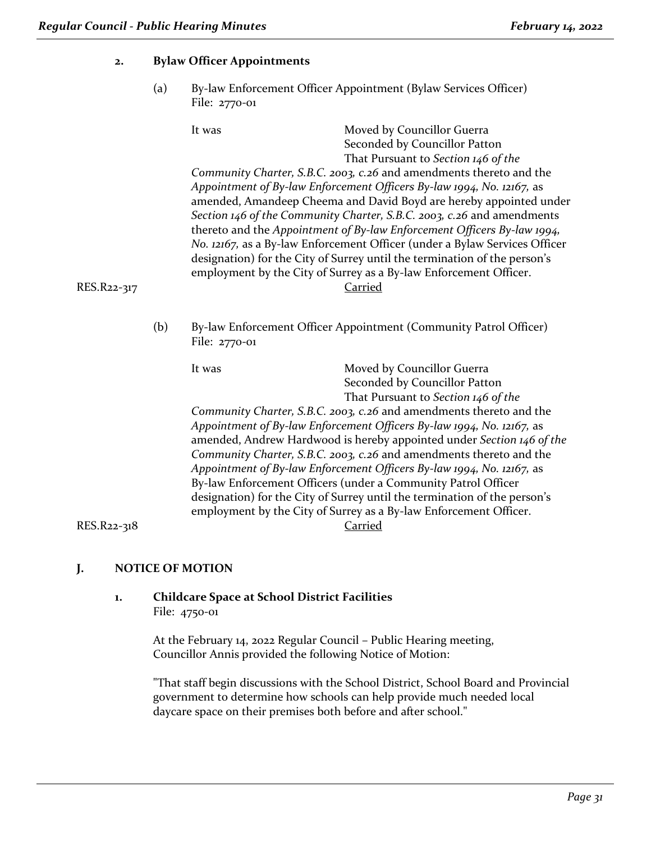| 2.                                                                                                                                                                                                                                                                                                                                                                                                                                                                                | <b>Bylaw Officer Appointments</b>                                                         |                                                                                                                                                                                                                                                                                                                                                                                                                                                                                                                     |                                                                                                                                                                                                                                                    |
|-----------------------------------------------------------------------------------------------------------------------------------------------------------------------------------------------------------------------------------------------------------------------------------------------------------------------------------------------------------------------------------------------------------------------------------------------------------------------------------|-------------------------------------------------------------------------------------------|---------------------------------------------------------------------------------------------------------------------------------------------------------------------------------------------------------------------------------------------------------------------------------------------------------------------------------------------------------------------------------------------------------------------------------------------------------------------------------------------------------------------|----------------------------------------------------------------------------------------------------------------------------------------------------------------------------------------------------------------------------------------------------|
|                                                                                                                                                                                                                                                                                                                                                                                                                                                                                   | (a)                                                                                       | By-law Enforcement Officer Appointment (Bylaw Services Officer)<br>File: 2770-01                                                                                                                                                                                                                                                                                                                                                                                                                                    |                                                                                                                                                                                                                                                    |
|                                                                                                                                                                                                                                                                                                                                                                                                                                                                                   |                                                                                           | It was                                                                                                                                                                                                                                                                                                                                                                                                                                                                                                              | Moved by Councillor Guerra<br>Seconded by Councillor Patton<br>That Pursuant to Section 146 of the<br>Community Charter, S.B.C. 2003, c.26 and amendments thereto and the<br>Appointment of By-law Enforcement Officers By-law 1994, No. 12167, as |
| amended, Amandeep Cheema and David Boyd are hereby appointed under<br>Section 146 of the Community Charter, S.B.C. 2003, c.26 and amendments<br>thereto and the Appointment of By-law Enforcement Officers By-law 1994,<br>No. 12167, as a By-law Enforcement Officer (under a Bylaw Services Officer<br>designation) for the City of Surrey until the termination of the person's<br>employment by the City of Surrey as a By-law Enforcement Officer.<br>Carried<br>RES.R22-317 |                                                                                           |                                                                                                                                                                                                                                                                                                                                                                                                                                                                                                                     |                                                                                                                                                                                                                                                    |
|                                                                                                                                                                                                                                                                                                                                                                                                                                                                                   | (b)<br>By-law Enforcement Officer Appointment (Community Patrol Officer)<br>File: 2770-01 |                                                                                                                                                                                                                                                                                                                                                                                                                                                                                                                     |                                                                                                                                                                                                                                                    |
|                                                                                                                                                                                                                                                                                                                                                                                                                                                                                   |                                                                                           | It was                                                                                                                                                                                                                                                                                                                                                                                                                                                                                                              | Moved by Councillor Guerra<br>Seconded by Councillor Patton<br>That Pursuant to Section 146 of the                                                                                                                                                 |
|                                                                                                                                                                                                                                                                                                                                                                                                                                                                                   |                                                                                           | Community Charter, S.B.C. 2003, c.26 and amendments thereto and the<br>Appointment of By-law Enforcement Officers By-law 1994, No. 12167, as<br>amended, Andrew Hardwood is hereby appointed under Section 146 of the<br>Community Charter, S.B.C. 2003, c.26 and amendments thereto and the<br>Appointment of By-law Enforcement Officers By-law 1994, No. 12167, as<br>By-law Enforcement Officers (under a Community Patrol Officer<br>designation) for the City of Surrey until the termination of the person's |                                                                                                                                                                                                                                                    |
| RES.R22-318                                                                                                                                                                                                                                                                                                                                                                                                                                                                       |                                                                                           |                                                                                                                                                                                                                                                                                                                                                                                                                                                                                                                     | employment by the City of Surrey as a By-law Enforcement Officer.<br>Carried                                                                                                                                                                       |

# **J. NOTICE OF MOTION**

# **1. Childcare Space at School District Facilities** File: 4750-01

At the February 14, 2022 Regular Council – Public Hearing meeting, Councillor Annis provided the following Notice of Motion:

"That staff begin discussions with the School District, School Board and Provincial government to determine how schools can help provide much needed local daycare space on their premises both before and after school."